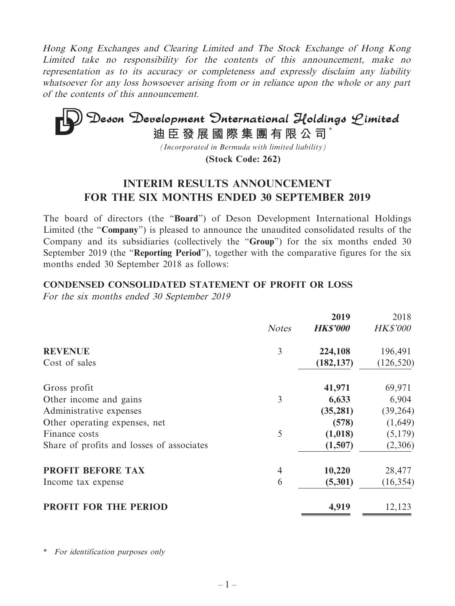Hong Kong Exchanges and Clearing Limited and The Stock Exchange of Hong Kong Limited take no responsibility for the contents of this announcement, make no representation as to its accuracy or completeness and expressly disclaim any liability whatsoever for any loss howsoever arising from or in reliance upon the whole or any part of the contents of this announcement.

# **Deson Development Onternational Holdings Limited**<br>迪臣發展國際集團有限公司<sup>\*</sup>

*(Incorporated in Bermuda with limited liability)*

**(Stock Code: 262)**

# **INTERIM RESULTS ANNOUNCEMENT FOR THE SIX MONTHS ENDED 30 SEPTEMBER 2019**

The board of directors (the "**Board**") of Deson Development International Holdings Limited (the "**Company**") is pleased to announce the unaudited consolidated results of the Company and its subsidiaries (collectively the "**Group**") for the six months ended 30 September 2019 (the "**Reporting Period**"), together with the comparative figures for the six months ended 30 September 2018 as follows:

#### **CONDENSED CONSOLIDATED STATEMENT OF PROFIT OR LOSS**

For the six months ended 30 September 2019

|              | 2019            | 2018            |
|--------------|-----------------|-----------------|
| <b>Notes</b> | <b>HK\$'000</b> | <b>HK\$'000</b> |
| 3            | 224,108         | 196,491         |
|              | (182, 137)      | (126, 520)      |
|              | 41,971          | 69,971          |
| 3            | 6,633           | 6,904           |
|              | (35, 281)       | (39, 264)       |
|              | (578)           | (1,649)         |
| 5            | (1,018)         | (5,179)         |
|              | (1,507)         | (2,306)         |
| 4            |                 | 28,477          |
| 6            | (5,301)         | (16, 354)       |
|              | 4,919           | 12,123          |
|              |                 | 10,220          |

\* For identification purposes only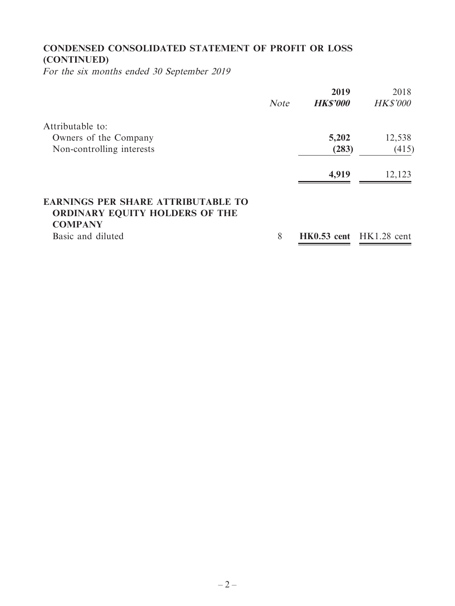# **CONDENSED CONSOLIDATED STATEMENT OF PROFIT OR LOSS (CONTINUED)**

For the six months ended 30 September 2019

|                                           |             | 2019            | 2018                        |
|-------------------------------------------|-------------|-----------------|-----------------------------|
|                                           | <b>Note</b> | <b>HK\$'000</b> | <b>HK\$'000</b>             |
| Attributable to:                          |             |                 |                             |
| Owners of the Company                     |             | 5,202           | 12,538                      |
| Non-controlling interests                 |             | (283)           | (415)                       |
|                                           |             | 4,919           | 12,123                      |
| <b>EARNINGS PER SHARE ATTRIBUTABLE TO</b> |             |                 |                             |
| <b>ORDINARY EQUITY HOLDERS OF THE</b>     |             |                 |                             |
| <b>COMPANY</b>                            |             |                 |                             |
| Basic and diluted                         | 8           |                 | $HK0.53$ cent $HK1.28$ cent |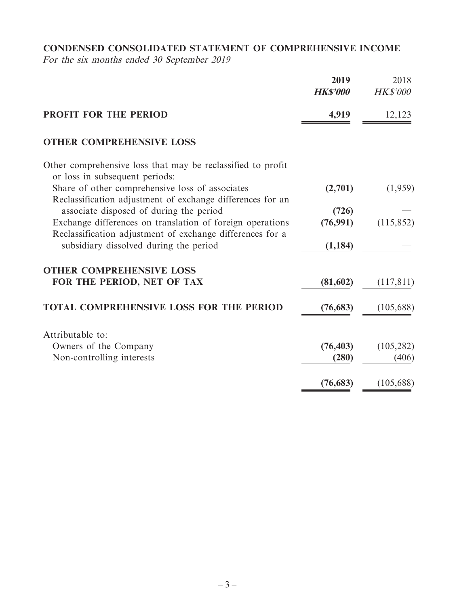# **CONDENSED CONSOLIDATED STATEMENT OF COMPREHENSIVE INCOME**

For the six months ended 30 September 2019

|                                                                                                                        | 2019<br><b>HKS'000</b> | 2018<br><b>HK\$'000</b> |
|------------------------------------------------------------------------------------------------------------------------|------------------------|-------------------------|
| <b>PROFIT FOR THE PERIOD</b>                                                                                           | 4,919                  | 12,123                  |
| <b>OTHER COMPREHENSIVE LOSS</b>                                                                                        |                        |                         |
| Other comprehensive loss that may be reclassified to profit<br>or loss in subsequent periods:                          |                        |                         |
| Share of other comprehensive loss of associates<br>Reclassification adjustment of exchange differences for an          | (2,701)                | (1,959)                 |
| associate disposed of during the period                                                                                | (726)                  |                         |
| Exchange differences on translation of foreign operations<br>Reclassification adjustment of exchange differences for a | (76,991)               | (115, 852)              |
| subsidiary dissolved during the period                                                                                 | (1, 184)               |                         |
| <b>OTHER COMPREHENSIVE LOSS</b>                                                                                        |                        |                         |
| FOR THE PERIOD, NET OF TAX                                                                                             | (81,602)               | (117, 811)              |
| <b>TOTAL COMPREHENSIVE LOSS FOR THE PERIOD</b>                                                                         | (76, 683)              | (105, 688)              |
| Attributable to:                                                                                                       |                        |                         |
| Owners of the Company                                                                                                  | (76, 403)              | (105, 282)              |
| Non-controlling interests                                                                                              | (280)                  | (406)                   |
|                                                                                                                        | (76, 683)              | (105, 688)              |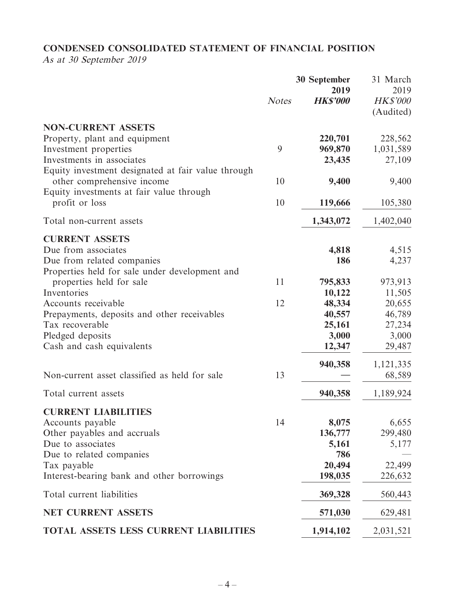# **CONDENSED CONSOLIDATED STATEMENT OF FINANCIAL POSITION**

As at 30 September 2019

|                                                    | 30 September | 31 March<br>2019        |                              |
|----------------------------------------------------|--------------|-------------------------|------------------------------|
|                                                    | <b>Notes</b> | 2019<br><b>HK\$'000</b> | <b>HK\$'000</b><br>(Audited) |
| <b>NON-CURRENT ASSETS</b>                          |              |                         |                              |
| Property, plant and equipment                      |              | 220,701                 | 228,562                      |
| Investment properties                              | 9            | 969,870                 | 1,031,589                    |
| Investments in associates                          |              | 23,435                  | 27,109                       |
| Equity investment designated at fair value through |              |                         |                              |
| other comprehensive income                         | 10           | 9,400                   | 9,400                        |
| Equity investments at fair value through           |              |                         |                              |
| profit or loss                                     | 10           | 119,666                 | 105,380                      |
| Total non-current assets                           |              | 1,343,072               | 1,402,040                    |
| <b>CURRENT ASSETS</b>                              |              |                         |                              |
| Due from associates                                |              | 4,818                   | 4,515                        |
| Due from related companies                         |              | 186                     | 4,237                        |
| Properties held for sale under development and     |              |                         |                              |
| properties held for sale                           | 11           | 795,833                 | 973,913                      |
| Inventories                                        |              | 10,122                  | 11,505                       |
| Accounts receivable                                | 12           | 48,334                  | 20,655                       |
| Prepayments, deposits and other receivables        |              | 40,557                  | 46,789                       |
| Tax recoverable                                    |              | 25,161                  | 27,234                       |
| Pledged deposits                                   |              | 3,000                   | 3,000                        |
| Cash and cash equivalents                          |              | 12,347                  | 29,487                       |
|                                                    |              | 940,358                 | 1,121,335                    |
| Non-current asset classified as held for sale      | 13           |                         | 68,589                       |
| Total current assets                               |              | 940,358                 | 1,189,924                    |
|                                                    |              |                         |                              |
| <b>CURRENT LIABILITIES</b>                         | 14           |                         |                              |
| Accounts payable<br>Other payables and accruals    |              | 8,075<br>136,777        | 6,655<br>299,480             |
| Due to associates                                  |              | 5,161                   | 5,177                        |
| Due to related companies                           |              | 786                     |                              |
| Tax payable                                        |              | 20,494                  | 22,499                       |
| Interest-bearing bank and other borrowings         |              | 198,035                 | 226,632                      |
| Total current liabilities                          |              | 369,328                 | 560,443                      |
| <b>NET CURRENT ASSETS</b>                          |              | 571,030                 | 629,481                      |
| <b>TOTAL ASSETS LESS CURRENT LIABILITIES</b>       |              | 1,914,102               | 2,031,521                    |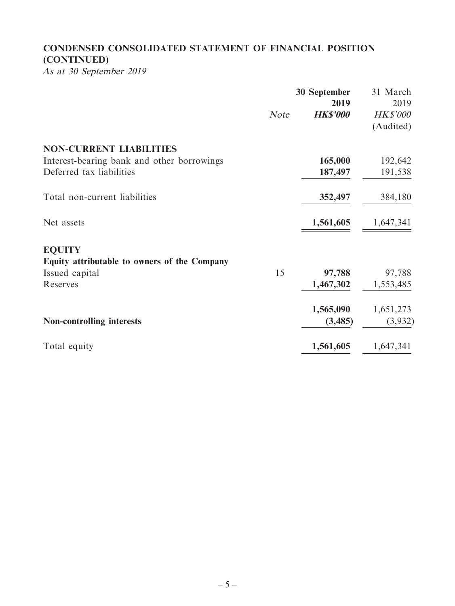# **CONDENSED CONSOLIDATED STATEMENT OF FINANCIAL POSITION (CONTINUED)**

As at 30 September 2019

|                                              | <b>30 September</b> | 31 March<br>2019        |                              |  |
|----------------------------------------------|---------------------|-------------------------|------------------------------|--|
|                                              | <b>Note</b>         | 2019<br><b>HK\$'000</b> | <b>HK\$'000</b><br>(Audited) |  |
| <b>NON-CURRENT LIABILITIES</b>               |                     |                         |                              |  |
| Interest-bearing bank and other borrowings   |                     | 165,000                 | 192,642                      |  |
| Deferred tax liabilities                     |                     | 187,497                 | 191,538                      |  |
| Total non-current liabilities                |                     | 352,497                 | 384,180                      |  |
| Net assets                                   |                     | 1,561,605               | 1,647,341                    |  |
| <b>EQUITY</b>                                |                     |                         |                              |  |
| Equity attributable to owners of the Company |                     |                         |                              |  |
| Issued capital                               | 15                  | 97,788                  | 97,788                       |  |
| Reserves                                     |                     | 1,467,302               | 1,553,485                    |  |
|                                              |                     | 1,565,090               | 1,651,273                    |  |
| <b>Non-controlling interests</b>             |                     | (3,485)                 | (3,932)                      |  |
| Total equity                                 |                     | 1,561,605               | 1,647,341                    |  |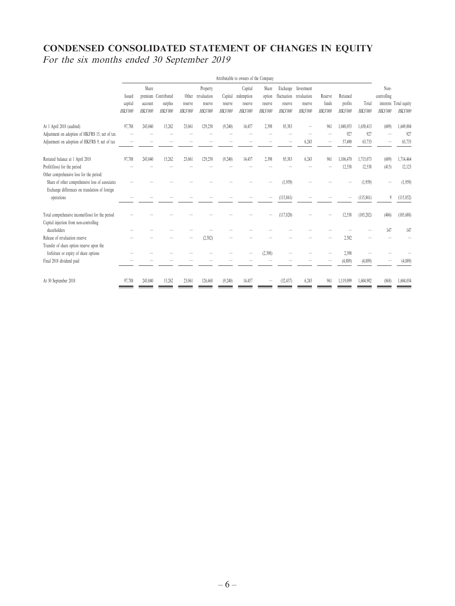# **CONDENSED CONSOLIDATED STATEMENT OF CHANGES IN EQUITY** For the six months ended 30 September 2019

|                                                                                                                              | Attributable to owners of the Company |                             |                                                  |                             |                                               |                               |                                             |                                              |                           |                                                                      |                             |                                |                            |                                       |                                          |
|------------------------------------------------------------------------------------------------------------------------------|---------------------------------------|-----------------------------|--------------------------------------------------|-----------------------------|-----------------------------------------------|-------------------------------|---------------------------------------------|----------------------------------------------|---------------------------|----------------------------------------------------------------------|-----------------------------|--------------------------------|----------------------------|---------------------------------------|------------------------------------------|
|                                                                                                                              | Issued<br>capital<br><b>HK\$'000</b>  | Share<br>account<br>HKS'000 | premium Contributed<br>surplus<br><b>HKS'000</b> | Other<br>reserve<br>HKS'000 | Property<br>revaluation<br>reserve<br>HKS'000 | Capital<br>reserve<br>HKS'000 | Capital<br>redemption<br>reserve<br>HKS'000 | Share<br>option<br>reserve<br><b>HKS'000</b> | reserve<br><b>HKS'000</b> | Exchange Investment<br>fluctuation revaluation<br>reserve<br>HKS'000 | Reserve<br>funds<br>HKS'000 | Retained<br>profits<br>HKS'000 | Total<br>HKS'000           | Non-<br>controlling<br><b>HKS'000</b> | interests Total equity<br><b>HKS'000</b> |
| At 1 April 2018 (audited)<br>Adjustment on adoption of HKFRS 15, net of tax<br>Adjustment on adoption of HKFRS 9, net of tax | 97,788                                | 243,040                     | 15.262                                           | 23,061                      | 129,250                                       | (9,240)                       | 14,457                                      | 2,398                                        | 85,383                    | 6,243                                                                | 961                         | 1,048,053<br>927<br>57,490     | 1,650,413<br>927<br>63,733 | (609)                                 | 1,649,804<br>927<br>63,733               |
| Restated balance at 1 April 2018<br>Profit/(loss) for the period<br>Other comprehensive loss for the period:                 | 97,788                                | 243,040                     | 15,262                                           | 23,061                      | 129,250                                       | (9,240)                       | 14,457                                      | 2,398                                        | 85,383                    | 6,243                                                                | 961                         | 1,106,470<br>12,538            | 1,715,073<br>12,538        | (609)<br>(415)                        | 1,714,464<br>12,123                      |
| Share of other comprehensive loss of associates<br>Exchange differences on translation of foreign<br>operations              |                                       |                             |                                                  |                             |                                               |                               |                                             |                                              | (1,959)<br>(115, 861)     |                                                                      |                             |                                | (1,959)<br>(115, 861)      | 9                                     | (1,959)<br>(115, 852)                    |
| Total comprehensive income/(loss) for the period<br>Capital injection from non-controlling                                   |                                       |                             |                                                  |                             |                                               |                               |                                             |                                              | (117, 820)                |                                                                      |                             | 12,538                         | (105, 282)                 | (406)                                 | (105, 688)                               |
| shareholders<br>Release of revaluation reserve<br>Transfer of share option reserve upon the                                  |                                       |                             |                                                  |                             | (2,582)                                       |                               |                                             |                                              |                           |                                                                      |                             | 2,582                          |                            | 147                                   | 147                                      |
| forfeiture or expiry of share options<br>Final 2018 dividend paid                                                            |                                       |                             |                                                  |                             |                                               |                               |                                             | (2.398)                                      |                           |                                                                      |                             | 2,398<br>(4,889)               | (4,889)                    |                                       | (4,889)                                  |
| At 30 September 2018                                                                                                         | 97.788                                | 243.040                     | 15.262                                           | 23,061                      | 126,668                                       | (9,240)                       | 14,457                                      |                                              | (32, 437)                 | 6.243                                                                | 961                         | 1,119,099                      | 1,604,902                  | (868)                                 | 1,604,034                                |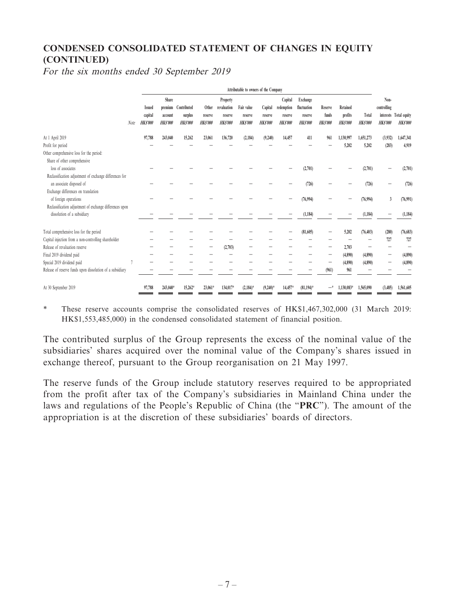# **CONDENSED CONSOLIDATED STATEMENT OF CHANGES IN EQUITY (CONTINUED)**

For the six months ended 30 September 2019

|                                                           |      | Attributable to owners of the Company |                           |                    |                    |                           |                           |                           |                           |                           |                         |                    |                         |                                |                                          |       |                         |            |         |                       |                         |         |          |  |                     |  |
|-----------------------------------------------------------|------|---------------------------------------|---------------------------|--------------------|--------------------|---------------------------|---------------------------|---------------------------|---------------------------|---------------------------|-------------------------|--------------------|-------------------------|--------------------------------|------------------------------------------|-------|-------------------------|------------|---------|-----------------------|-------------------------|---------|----------|--|---------------------|--|
|                                                           |      | Share<br>premium<br><b>Issued</b>     |                           |                    |                    |                           |                           |                           |                           |                           |                         |                    |                         |                                | Contributed                              | Other | Property<br>revaluation | Fair value | Capital | Capital<br>redemption | Exchange<br>fluctuation | Reserve | Retained |  | Non-<br>controlling |  |
|                                                           | Note | capital<br>HKS'000                    | account<br><b>HKS'000</b> | surplus<br>HKS'000 | reserve<br>HKS'000 | reserve<br><b>HKS'000</b> | reserve<br><b>HKS'000</b> | reserve<br><b>HKS'000</b> | reserve<br><b>HKS'000</b> | reserve<br><b>HKS'000</b> | funds<br><b>HKS'000</b> | profits<br>HKS'000 | Total<br><b>HKS'000</b> | HKS'000                        | interests Total equity<br><b>HKS'000</b> |       |                         |            |         |                       |                         |         |          |  |                     |  |
|                                                           |      |                                       | 243,040                   |                    | 23,061             |                           |                           |                           |                           | 411                       |                         |                    |                         |                                |                                          |       |                         |            |         |                       |                         |         |          |  |                     |  |
| At 1 April 2019                                           |      | 97,788                                |                           | 15,262             |                    | 136,720                   | (2, 184)                  | (9,240)                   | 14,457                    |                           | 961                     | 1,130,997          | 1,651,273               | (3,932)                        | 1,647,341                                |       |                         |            |         |                       |                         |         |          |  |                     |  |
| Profit for period                                         |      |                                       |                           |                    |                    |                           |                           |                           |                           |                           |                         | 5,202              | 5,202                   | (283)                          | 4,919                                    |       |                         |            |         |                       |                         |         |          |  |                     |  |
| Other comprehensive loss for the period:                  |      |                                       |                           |                    |                    |                           |                           |                           |                           |                           |                         |                    |                         |                                |                                          |       |                         |            |         |                       |                         |         |          |  |                     |  |
| Share of other comprehensive<br>loss of associates        |      |                                       |                           |                    |                    |                           |                           |                           |                           | (2,701)                   |                         |                    | (2,701)                 |                                | (2,701)                                  |       |                         |            |         |                       |                         |         |          |  |                     |  |
| Reclassification adjustment of exchange differences for   |      |                                       |                           |                    |                    |                           |                           |                           |                           |                           |                         |                    |                         |                                |                                          |       |                         |            |         |                       |                         |         |          |  |                     |  |
| an associate disposed of                                  |      |                                       |                           |                    |                    |                           |                           |                           |                           | (726)                     |                         |                    | (726)                   |                                | (726)                                    |       |                         |            |         |                       |                         |         |          |  |                     |  |
| Exchange differences on translation                       |      |                                       |                           |                    |                    |                           |                           |                           |                           |                           |                         |                    |                         |                                |                                          |       |                         |            |         |                       |                         |         |          |  |                     |  |
| of foreign operations                                     |      |                                       |                           |                    |                    |                           |                           |                           |                           | (76, 994)                 |                         |                    | (76, 994)               | 3                              | (76,991)                                 |       |                         |            |         |                       |                         |         |          |  |                     |  |
| Reclassification adjustment of exchange differences upon  |      |                                       |                           |                    |                    |                           |                           |                           |                           |                           |                         |                    |                         |                                |                                          |       |                         |            |         |                       |                         |         |          |  |                     |  |
| dissolution of a subsidiary                               |      |                                       |                           |                    |                    |                           |                           |                           |                           | (1, 184)                  |                         |                    | (1, 184)                |                                | (1, 184)                                 |       |                         |            |         |                       |                         |         |          |  |                     |  |
|                                                           |      |                                       |                           |                    |                    |                           |                           |                           |                           |                           |                         |                    |                         |                                |                                          |       |                         |            |         |                       |                         |         |          |  |                     |  |
| Total comprehensive loss for the period                   |      |                                       |                           |                    |                    |                           |                           |                           |                           | (81,605)                  |                         | 5,202              | (76, 403)               | (280)                          | (76, 683)                                |       |                         |            |         |                       |                         |         |          |  |                     |  |
| Capital injection from a non-controlling shareholder      |      |                                       |                           |                    |                    |                           |                           |                           |                           |                           |                         |                    |                         | 727                            | 727                                      |       |                         |            |         |                       |                         |         |          |  |                     |  |
| Release of revaluation reserve                            |      |                                       |                           |                    |                    | (2,703)                   |                           |                           |                           |                           |                         | 2,703              |                         |                                | -                                        |       |                         |            |         |                       |                         |         |          |  |                     |  |
| Final 2019 dividend paid                                  |      |                                       |                           |                    |                    |                           |                           |                           |                           |                           |                         | (4,890)            | (4,890)                 | $\qquad \qquad \longleftarrow$ | (4,890)                                  |       |                         |            |         |                       |                         |         |          |  |                     |  |
| Special 2019 dividend paid                                |      |                                       |                           |                    |                    |                           |                           |                           |                           |                           |                         | (4,890)            | (4,890)                 | -                              | (4,890)                                  |       |                         |            |         |                       |                         |         |          |  |                     |  |
| Release of reserve funds upon dissolution of a subsidiary |      |                                       |                           |                    |                    |                           |                           |                           |                           |                           | (961)                   | 961                |                         |                                |                                          |       |                         |            |         |                       |                         |         |          |  |                     |  |
| At 30 September 2019                                      |      | 97,788                                | 243,040*                  | 15,262*            | 23,061*            | 134,017*                  | $(2,184)$ *               | $(9,240)$ *               | 14,457*                   | $(81,194)$ *              | $-$ *                   | 1.130.083*         | 1,565,090               | (3,485)                        | 1,561,605                                |       |                         |            |         |                       |                         |         |          |  |                     |  |

\* These reserve accounts comprise the consolidated reserves of HK\$1,467,302,000 (31 March 2019: HK\$1,553,485,000) in the condensed consolidated statement of financial position.

The contributed surplus of the Group represents the excess of the nominal value of the subsidiaries' shares acquired over the nominal value of the Company's shares issued in exchange thereof, pursuant to the Group reorganisation on 21 May 1997.

The reserve funds of the Group include statutory reserves required to be appropriated from the profit after tax of the Company's subsidiaries in Mainland China under the laws and regulations of the People's Republic of China (the "**PRC**"). The amount of the appropriation is at the discretion of these subsidiaries' boards of directors.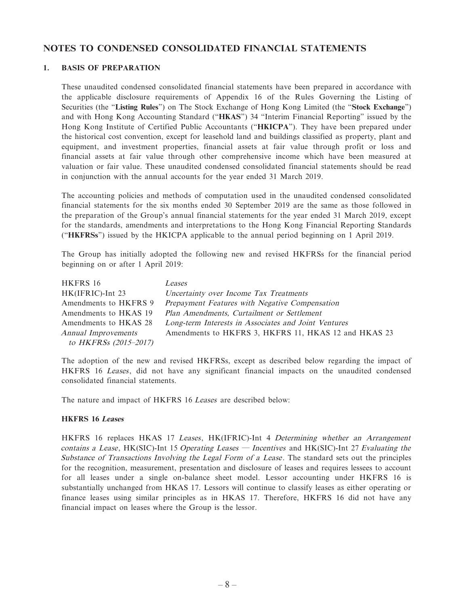#### **NOTES TO CONDENSED CONSOLIDATED FINANCIAL STATEMENTS**

#### **1. BASIS OF PREPARATION**

These unaudited condensed consolidated financial statements have been prepared in accordance with the applicable disclosure requirements of Appendix 16 of the Rules Governing the Listing of Securities (the "**Listing Rules**") on The Stock Exchange of Hong Kong Limited (the "**Stock Exchange**") and with Hong Kong Accounting Standard ("**HKAS**") 34 "Interim Financial Reporting" issued by the Hong Kong Institute of Certified Public Accountants ("**HKICPA**"). They have been prepared under the historical cost convention, except for leasehold land and buildings classified as property, plant and equipment, and investment properties, financial assets at fair value through profit or loss and financial assets at fair value through other comprehensive income which have been measured at valuation or fair value. These unaudited condensed consolidated financial statements should be read in conjunction with the annual accounts for the year ended 31 March 2019.

The accounting policies and methods of computation used in the unaudited condensed consolidated financial statements for the six months ended 30 September 2019 are the same as those followed in the preparation of the Group's annual financial statements for the year ended 31 March 2019, except for the standards, amendments and interpretations to the Hong Kong Financial Reporting Standards ("**HKFRSs**") issued by the HKICPA applicable to the annual period beginning on 1 April 2019.

The Group has initially adopted the following new and revised HKFRSs for the financial period beginning on or after 1 April 2019:

| HKFRS 16              | <i>Leases</i>                                        |
|-----------------------|------------------------------------------------------|
| HK(IFRIC)-Int 23      | Uncertainty over Income Tax Treatments               |
| Amendments to HKFRS 9 | Prepayment Features with Negative Compensation       |
| Amendments to HKAS 19 | Plan Amendments, Curtailment or Settlement           |
| Amendments to HKAS 28 | Long-term Interests in Associates and Joint Ventures |
| Annual Improvements   | Amendments to HKFRS 3, HKFRS 11, HKAS 12 and HKAS 23 |
| to HKFRSs (2015-2017) |                                                      |

The adoption of the new and revised HKFRSs, except as described below regarding the impact of HKFRS 16 Leases, did not have any significant financial impacts on the unaudited condensed consolidated financial statements.

The nature and impact of HKFRS 16 Leases are described below:

#### **HKFRS 16 Leases**

HKFRS 16 replaces HKAS 17 Leases, HK(IFRIC)-Int 4 Determining whether an Arrangement contains a Lease, HK(SIC)-Int 15 Operating Leases — Incentives and HK(SIC)-Int 27 Evaluating the Substance of Transactions Involving the Legal Form of a Lease . The standard sets out the principles for the recognition, measurement, presentation and disclosure of leases and requires lessees to account for all leases under a single on-balance sheet model. Lessor accounting under HKFRS 16 is substantially unchanged from HKAS 17. Lessors will continue to classify leases as either operating or finance leases using similar principles as in HKAS 17. Therefore, HKFRS 16 did not have any financial impact on leases where the Group is the lessor.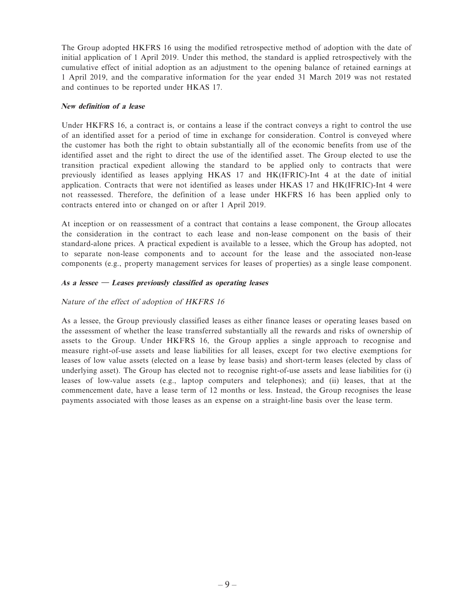The Group adopted HKFRS 16 using the modified retrospective method of adoption with the date of initial application of 1 April 2019. Under this method, the standard is applied retrospectively with the cumulative effect of initial adoption as an adjustment to the opening balance of retained earnings at 1 April 2019, and the comparative information for the year ended 31 March 2019 was not restated and continues to be reported under HKAS 17.

#### **New definition of a lease**

Under HKFRS 16, a contract is, or contains a lease if the contract conveys a right to control the use of an identified asset for a period of time in exchange for consideration. Control is conveyed where the customer has both the right to obtain substantially all of the economic benefits from use of the identified asset and the right to direct the use of the identified asset. The Group elected to use the transition practical expedient allowing the standard to be applied only to contracts that were previously identified as leases applying HKAS 17 and HK(IFRIC)-Int 4 at the date of initial application. Contracts that were not identified as leases under HKAS 17 and HK(IFRIC)-Int 4 were not reassessed. Therefore, the definition of a lease under HKFRS 16 has been applied only to contracts entered into or changed on or after 1 April 2019.

At inception or on reassessment of a contract that contains a lease component, the Group allocates the consideration in the contract to each lease and non-lease component on the basis of their standard-alone prices. A practical expedient is available to a lessee, which the Group has adopted, not to separate non-lease components and to account for the lease and the associated non-lease components (e.g., property management services for leases of properties) as a single lease component.

#### **As a lessee — Leases previously classified as operating leases**

#### Nature of the effect of adoption of HKFRS 16

As a lessee, the Group previously classified leases as either finance leases or operating leases based on the assessment of whether the lease transferred substantially all the rewards and risks of ownership of assets to the Group. Under HKFRS 16, the Group applies a single approach to recognise and measure right-of-use assets and lease liabilities for all leases, except for two elective exemptions for leases of low value assets (elected on a lease by lease basis) and short-term leases (elected by class of underlying asset). The Group has elected not to recognise right-of-use assets and lease liabilities for (i) leases of low-value assets (e.g., laptop computers and telephones); and (ii) leases, that at the commencement date, have a lease term of 12 months or less. Instead, the Group recognises the lease payments associated with those leases as an expense on a straight-line basis over the lease term.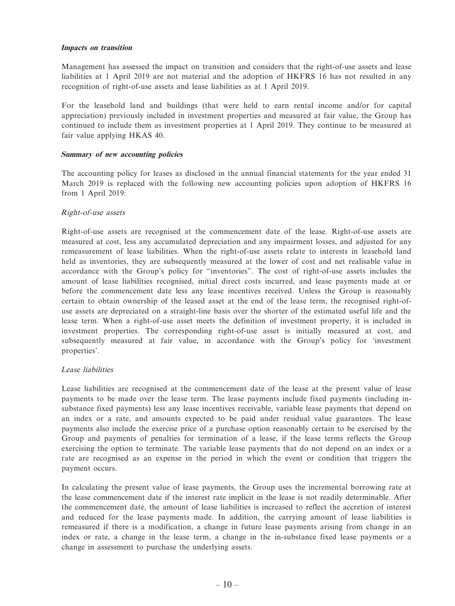#### **Impacts on transition**

Management has assessed the impact on transition and considers that the right-of-use assets and lease liabilities at 1 April 2019 are not material and the adoption of HKFRS 16 has not resulted in any recognition of right-of-use assets and lease liabilities as at 1 April 2019.

For the leasehold land and buildings (that were held to earn rental income and/or for capital appreciation) previously included in investment properties and measured at fair value, the Group has continued to include them as investment properties at 1 April 2019. They continue to be measured at fair value applying HKAS 40.

#### **Summary of new accounting policies**

The accounting policy for leases as disclosed in the annual financial statements for the year ended 31 March 2019 is replaced with the following new accounting policies upon adoption of HKFRS 16 from 1 April 2019:

#### Right-of-use assets

Right-of-use assets are recognised at the commencement date of the lease. Right-of-use assets are measured at cost, less any accumulated depreciation and any impairment losses, and adjusted for any remeasurement of lease liabilities. When the right-of-use assets relate to interests in leasehold land held as inventories, they are subsequently measured at the lower of cost and net realisable value in accordance with the Group's policy for "inventories". The cost of right-of-use assets includes the amount of lease liabilities recognised, initial direct costs incurred, and lease payments made at or before the commencement date less any lease incentives received. Unless the Group is reasonably certain to obtain ownership of the leased asset at the end of the lease term, the recognised right-ofuse assets are depreciated on a straight-line basis over the shorter of the estimated useful life and the lease term. When a right-of-use asset meets the definition of investment property, it is included in investment properties. The corresponding right-of-use asset is initially measured at cost, and subsequently measured at fair value, in accordance with the Group's policy for 'investment properties'.

#### Lease liabilities

Lease liabilities are recognised at the commencement date of the lease at the present value of lease payments to be made over the lease term. The lease payments include fixed payments (including insubstance fixed payments) less any lease incentives receivable, variable lease payments that depend on an index or a rate, and amounts expected to be paid under residual value guarantees. The lease payments also include the exercise price of a purchase option reasonably certain to be exercised by the Group and payments of penalties for termination of a lease, if the lease terms reflects the Group exercising the option to terminate. The variable lease payments that do not depend on an index or a rate are recognised as an expense in the period in which the event or condition that triggers the payment occurs.

In calculating the present value of lease payments, the Group uses the incremental borrowing rate at the lease commencement date if the interest rate implicit in the lease is not readily determinable. After the commencement date, the amount of lease liabilities is increased to reflect the accretion of interest and reduced for the lease payments made. In addition, the carrying amount of lease liabilities is remeasured if there is a modification, a change in future lease payments arising from change in an index or rate, a change in the lease term, a change in the in-substance fixed lease payments or a change in assessment to purchase the underlying assets.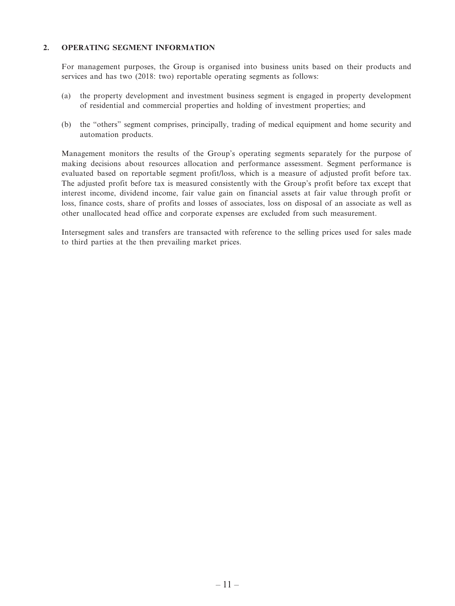#### **2. OPERATING SEGMENT INFORMATION**

For management purposes, the Group is organised into business units based on their products and services and has two (2018: two) reportable operating segments as follows:

- (a) the property development and investment business segment is engaged in property development of residential and commercial properties and holding of investment properties; and
- (b) the "others" segment comprises, principally, trading of medical equipment and home security and automation products.

Management monitors the results of the Group's operating segments separately for the purpose of making decisions about resources allocation and performance assessment. Segment performance is evaluated based on reportable segment profit/loss, which is a measure of adjusted profit before tax. The adjusted profit before tax is measured consistently with the Group's profit before tax except that interest income, dividend income, fair value gain on financial assets at fair value through profit or loss, finance costs, share of profits and losses of associates, loss on disposal of an associate as well as other unallocated head office and corporate expenses are excluded from such measurement.

Intersegment sales and transfers are transacted with reference to the selling prices used for sales made to third parties at the then prevailing market prices.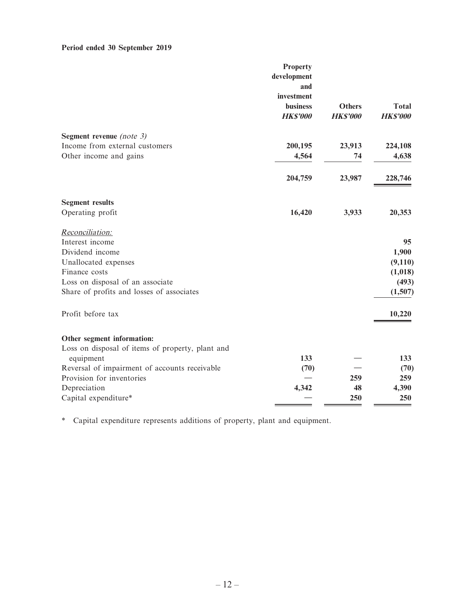# **Period ended 30 September 2019**

|                                                  | <b>Property</b><br>development<br>and<br>investment |                                  |                                 |
|--------------------------------------------------|-----------------------------------------------------|----------------------------------|---------------------------------|
|                                                  | <b>business</b><br><b>HK\$'000</b>                  | <b>Others</b><br><b>HK\$'000</b> | <b>Total</b><br><b>HK\$'000</b> |
| Segment revenue (note $3$ )                      |                                                     |                                  |                                 |
| Income from external customers                   | 200,195                                             | 23,913                           | 224,108                         |
| Other income and gains                           | 4,564                                               | 74                               | 4,638                           |
|                                                  | 204,759                                             | 23,987                           | 228,746                         |
| <b>Segment results</b>                           |                                                     |                                  |                                 |
| Operating profit                                 | 16,420                                              | 3,933                            | 20,353                          |
| Reconciliation:                                  |                                                     |                                  |                                 |
| Interest income                                  |                                                     |                                  | 95                              |
| Dividend income                                  |                                                     |                                  | 1,900                           |
| Unallocated expenses                             |                                                     |                                  | (9,110)                         |
| Finance costs                                    |                                                     |                                  | (1,018)                         |
| Loss on disposal of an associate                 |                                                     |                                  | (493)                           |
| Share of profits and losses of associates        |                                                     |                                  | (1,507)                         |
| Profit before tax                                |                                                     |                                  | 10,220                          |
| Other segment information:                       |                                                     |                                  |                                 |
| Loss on disposal of items of property, plant and |                                                     |                                  |                                 |
| equipment                                        | 133                                                 |                                  | 133                             |
| Reversal of impairment of accounts receivable    | (70)                                                |                                  | (70)                            |
| Provision for inventories                        |                                                     | 259                              | 259                             |
| Depreciation                                     | 4,342                                               | 48                               | 4,390                           |
| Capital expenditure*                             |                                                     | 250                              | 250                             |

\* Capital expenditure represents additions of property, plant and equipment.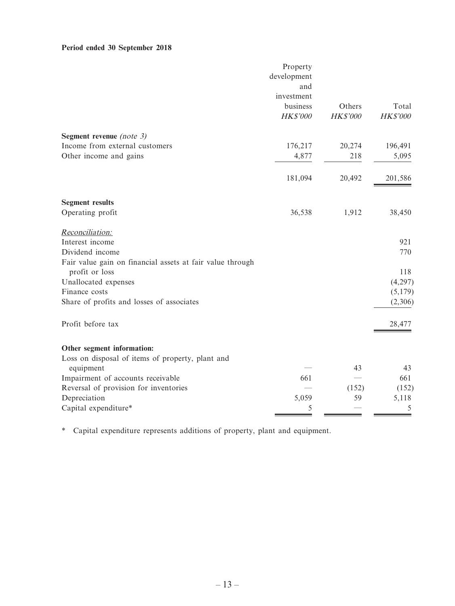#### **Period ended 30 September 2018**

|                                                                             | Property        |                 |          |
|-----------------------------------------------------------------------------|-----------------|-----------------|----------|
|                                                                             | development     |                 |          |
|                                                                             | and             |                 |          |
|                                                                             | investment      |                 |          |
|                                                                             | business        | Others          | Total    |
|                                                                             | <b>HK\$'000</b> | <b>HK\$'000</b> | HK\$'000 |
| Segment revenue (note $3$ )                                                 |                 |                 |          |
| Income from external customers                                              | 176,217         | 20,274          | 196,491  |
| Other income and gains                                                      | 4,877           | 218             | 5,095    |
|                                                                             | 181,094         | 20,492          | 201,586  |
| <b>Segment results</b>                                                      |                 |                 |          |
| Operating profit                                                            | 36,538          | 1,912           | 38,450   |
| Reconciliation:                                                             |                 |                 |          |
| Interest income                                                             |                 |                 | 921      |
| Dividend income                                                             |                 |                 | 770      |
| Fair value gain on financial assets at fair value through<br>profit or loss |                 |                 | 118      |
| Unallocated expenses                                                        |                 |                 | (4,297)  |
| Finance costs                                                               |                 |                 | (5,179)  |
| Share of profits and losses of associates                                   |                 |                 | (2,306)  |
| Profit before tax                                                           |                 |                 | 28,477   |
| Other segment information:                                                  |                 |                 |          |
| Loss on disposal of items of property, plant and                            |                 |                 |          |
| equipment                                                                   |                 | 43              | 43       |
| Impairment of accounts receivable                                           | 661             |                 | 661      |
| Reversal of provision for inventories                                       |                 | (152)           | (152)    |
| Depreciation                                                                | 5,059           | 59              | 5,118    |
| Capital expenditure*                                                        | 5               |                 | 5        |

\* Capital expenditure represents additions of property, plant and equipment.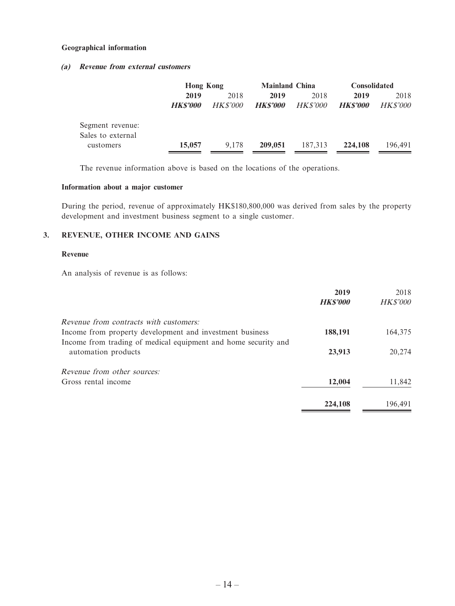#### **Geographical information**

#### **(a) Revenue from external customers**

|                                       | <b>Hong Kong</b>       |                         | <b>Mainland China</b>  |                         | <b>Consolidated</b>    |                         |  |
|---------------------------------------|------------------------|-------------------------|------------------------|-------------------------|------------------------|-------------------------|--|
|                                       | 2019<br><b>HKS'000</b> | 2018<br><i>HK\$'000</i> | 2019<br><b>HKS'000</b> | 2018<br><i>HK\$'000</i> | 2019<br><b>HKS'000</b> | 2018<br><i>HK\$'000</i> |  |
| Segment revenue:<br>Sales to external |                        |                         |                        |                         |                        |                         |  |
| customers                             | 15,057                 | 9.178                   | 209,051                | 187,313                 | 224,108                | 196.491                 |  |

The revenue information above is based on the locations of the operations.

#### **Information about a major customer**

During the period, revenue of approximately HK\$180,800,000 was derived from sales by the property development and investment business segment to a single customer.

#### **3. REVENUE, OTHER INCOME AND GAINS**

#### **Revenue**

An analysis of revenue is as follows:

|                                                                | 2019            | 2018            |
|----------------------------------------------------------------|-----------------|-----------------|
|                                                                | <b>HK\$'000</b> | <b>HK\$'000</b> |
| <i>Revenue from contracts with customers:</i>                  |                 |                 |
| Income from property development and investment business       | 188,191         | 164,375         |
| Income from trading of medical equipment and home security and |                 |                 |
| automation products                                            | 23,913          | 20,274          |
| <i>Revenue from other sources:</i>                             |                 |                 |
| Gross rental income                                            | 12,004          | 11,842          |
|                                                                | 224,108         | 196.491         |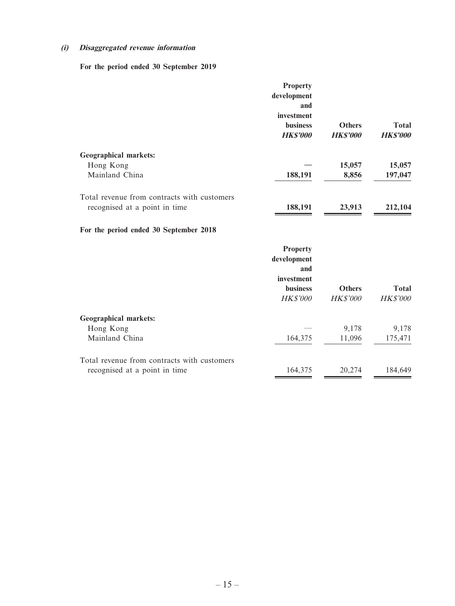#### **(i) Disaggregated revenue information**

 **For the period ended 30 September 2019**

|                                             | <b>Property</b><br>development<br>and<br>investment<br><b>business</b><br><b>HK\$'000</b> | <b>Others</b><br><b>HK\$'000</b> | <b>Total</b><br><b>HK\$'000</b> |
|---------------------------------------------|-------------------------------------------------------------------------------------------|----------------------------------|---------------------------------|
| <b>Geographical markets:</b>                |                                                                                           |                                  |                                 |
| Hong Kong                                   |                                                                                           | 15,057                           | 15,057                          |
| Mainland China                              | 188,191                                                                                   | 8,856                            | 197,047                         |
| Total revenue from contracts with customers |                                                                                           |                                  |                                 |
| recognised at a point in time               | 188,191                                                                                   | 23,913                           | 212,104                         |
| For the period ended 30 September 2018      |                                                                                           |                                  |                                 |
|                                             | <b>Property</b>                                                                           |                                  |                                 |
|                                             | development                                                                               |                                  |                                 |
|                                             | and<br>investment                                                                         |                                  |                                 |
|                                             | <b>business</b>                                                                           | <b>Others</b>                    | <b>Total</b>                    |
|                                             | <b>HK\$'000</b>                                                                           | <b>HK\$'000</b>                  | HK\$'000                        |
| <b>Geographical markets:</b>                |                                                                                           |                                  |                                 |
| Hong Kong                                   |                                                                                           | 9,178                            | 9,178                           |
| Mainland China                              | 164,375                                                                                   | 11,096                           | 175,471                         |
| Total revenue from contracts with customers |                                                                                           |                                  |                                 |
| recognised at a point in time               | 164,375                                                                                   | 20,274                           | 184,649                         |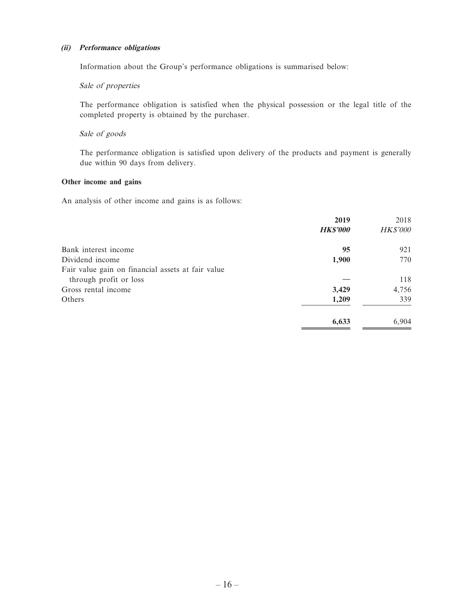#### **(ii) Performance obligations**

Information about the Group's performance obligations is summarised below:

#### Sale of properties

The performance obligation is satisfied when the physical possession or the legal title of the completed property is obtained by the purchaser.

#### Sale of goods

The performance obligation is satisfied upon delivery of the products and payment is generally due within 90 days from delivery.

#### **Other income and gains**

An analysis of other income and gains is as follows:

|                                                   | 2019            | 2018            |
|---------------------------------------------------|-----------------|-----------------|
|                                                   | <b>HK\$'000</b> | <b>HK\$'000</b> |
| Bank interest income                              | 95              | 921             |
| Dividend income                                   | 1,900           | 770             |
| Fair value gain on financial assets at fair value |                 |                 |
| through profit or loss                            |                 | 118             |
| Gross rental income                               | 3,429           | 4,756           |
| Others                                            | 1,209           | 339             |
|                                                   | 6,633           | 6,904           |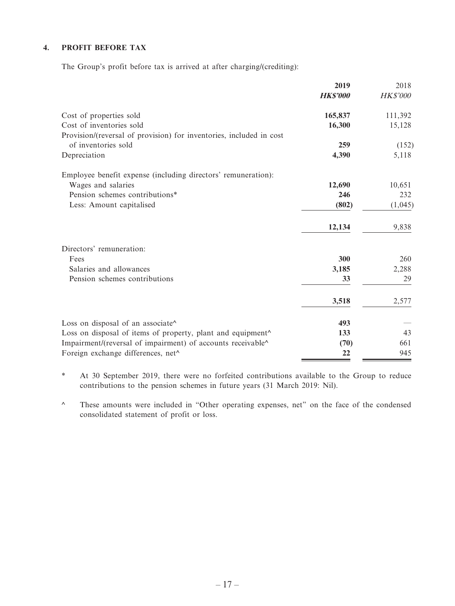#### **4. PROFIT BEFORE TAX**

The Group's profit before tax is arrived at after charging/(crediting):

|                                                                     | 2019<br><b>HK\$'000</b> | 2018<br><b>HK\$'000</b> |
|---------------------------------------------------------------------|-------------------------|-------------------------|
| Cost of properties sold                                             | 165,837                 | 111,392                 |
| Cost of inventories sold                                            | 16,300                  | 15,128                  |
| Provision/(reversal of provision) for inventories, included in cost |                         |                         |
| of inventories sold                                                 | 259                     | (152)                   |
| Depreciation                                                        | 4,390                   | 5,118                   |
| Employee benefit expense (including directors' remuneration):       |                         |                         |
| Wages and salaries                                                  | 12,690                  | 10,651                  |
| Pension schemes contributions*                                      | 246                     | 232                     |
| Less: Amount capitalised                                            | (802)                   | (1,045)                 |
|                                                                     | 12,134                  | 9,838                   |
| Directors' remuneration:                                            |                         |                         |
| Fees                                                                | 300                     | 260                     |
| Salaries and allowances                                             | 3,185                   | 2,288                   |
| Pension schemes contributions                                       | 33                      | 29                      |
|                                                                     | 3,518                   | 2,577                   |
| Loss on disposal of an associate^                                   | 493                     |                         |
| Loss on disposal of items of property, plant and equipment^         | 133                     | 43                      |
| Impairment/(reversal of impairment) of accounts receivable^         | (70)                    | 661                     |
| Foreign exchange differences, net <sup>^</sup>                      | 22                      | 945                     |

\* At 30 September 2019, there were no forfeited contributions available to the Group to reduce contributions to the pension schemes in future years (31 March 2019: Nil).

^ These amounts were included in "Other operating expenses, net" on the face of the condensed consolidated statement of profit or loss.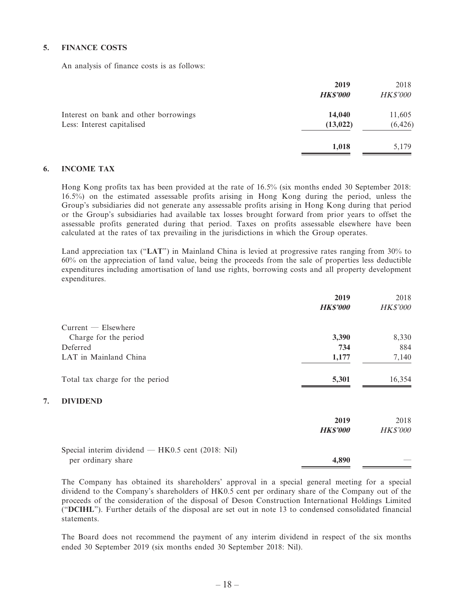#### **5. FINANCE COSTS**

An analysis of finance costs is as follows:

|                                                                     | 2019<br><b>HK\$'000</b> | 2018<br><b>HK\$'000</b> |
|---------------------------------------------------------------------|-------------------------|-------------------------|
| Interest on bank and other borrowings<br>Less: Interest capitalised | 14,040<br>(13, 022)     | 11,605<br>(6, 426)      |
|                                                                     | 1,018                   | 5,179                   |

#### **6. INCOME TAX**

**7. DIVIDEND**

Hong Kong profits tax has been provided at the rate of 16.5% (six months ended 30 September 2018: 16.5%) on the estimated assessable profits arising in Hong Kong during the period, unless the Group's subsidiaries did not generate any assessable profits arising in Hong Kong during that period or the Group's subsidiaries had available tax losses brought forward from prior years to offset the assessable profits generated during that period. Taxes on profits assessable elsewhere have been calculated at the rates of tax prevailing in the jurisdictions in which the Group operates.

Land appreciation tax ("**LAT**") in Mainland China is levied at progressive rates ranging from 30% to 60% on the appreciation of land value, being the proceeds from the sale of properties less deductible expenditures including amortisation of land use rights, borrowing costs and all property development expenditures.

|                                                     | 2019            | 2018            |
|-----------------------------------------------------|-----------------|-----------------|
|                                                     | <b>HK\$'000</b> | <b>HK\$'000</b> |
| $Current$ $-$ Elsewhere                             |                 |                 |
| Charge for the period                               | 3,390           | 8,330           |
| Deferred                                            | 734             | 884             |
| LAT in Mainland China                               | 1,177           | 7,140           |
| Total tax charge for the period                     | 5,301           | 16,354          |
| <b>DIVIDEND</b>                                     |                 |                 |
|                                                     | 2019            | 2018            |
|                                                     | <b>HK\$'000</b> | <b>HK\$'000</b> |
| Special interim dividend $-$ HK0.5 cent (2018: Nil) |                 |                 |
| per ordinary share                                  | 4,890           |                 |

The Company has obtained its shareholders' approval in a special general meeting for a special dividend to the Company's shareholders of HK0.5 cent per ordinary share of the Company out of the proceeds of the consideration of the disposal of Deson Construction International Holdings Limited ("**DCIHL**"). Further details of the disposal are set out in note 13 to condensed consolidated financial statements.

The Board does not recommend the payment of any interim dividend in respect of the six months ended 30 September 2019 (six months ended 30 September 2018: Nil).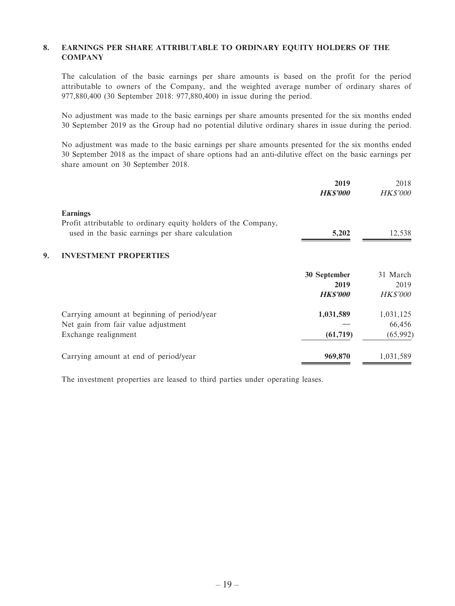#### **8. EARNINGS PER SHARE ATTRIBUTABLE TO ORDINARY EQUITY HOLDERS OF THE COMPANY**

The calculation of the basic earnings per share amounts is based on the profit for the period attributable to owners of the Company, and the weighted average number of ordinary shares of 977,880,400 (30 September 2018: 977,880,400) in issue during the period.

No adjustment was made to the basic earnings per share amounts presented for the six months ended 30 September 2019 as the Group had no potential dilutive ordinary shares in issue during the period.

No adjustment was made to the basic earnings per share amounts presented for the six months ended 30 September 2018 as the impact of share options had an anti-dilutive effect on the basic earnings per share amount on 30 September 2018.

|    |                                                                | 2019<br><b>HK\$'000</b> | 2018<br><b>HK\$'000</b> |
|----|----------------------------------------------------------------|-------------------------|-------------------------|
|    | <b>Earnings</b>                                                |                         |                         |
|    | Profit attributable to ordinary equity holders of the Company, |                         |                         |
|    | used in the basic earnings per share calculation               | 5,202                   | 12,538                  |
| 9. | <b>INVESTMENT PROPERTIES</b>                                   |                         |                         |
|    |                                                                | 30 September            | 31 March                |
|    |                                                                | 2019                    | 2019                    |
|    |                                                                | <b>HK\$'000</b>         | <b>HK\$'000</b>         |
|    | Carrying amount at beginning of period/year                    | 1,031,589               | 1,031,125               |
|    | Net gain from fair value adjustment                            |                         | 66,456                  |
|    | Exchange realignment                                           | (61, 719)               | (65, 992)               |
|    | Carrying amount at end of period/year                          | 969,870                 | 1,031,589               |

The investment properties are leased to third parties under operating leases.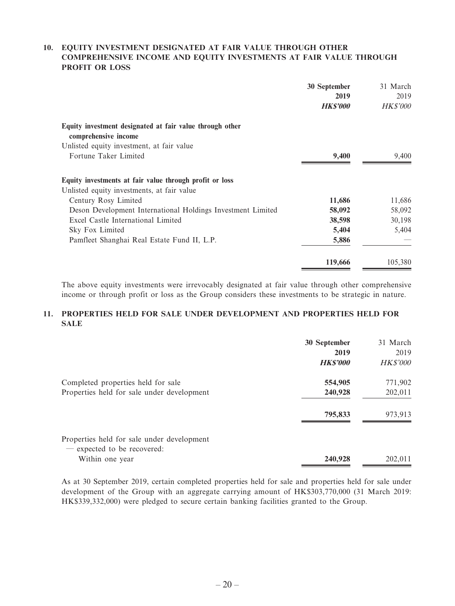#### **10. EQUITY INVESTMENT DESIGNATED AT FAIR VALUE THROUGH OTHER COMPREHENSIVE INCOME AND EQUITY INVESTMENTS AT FAIR VALUE THROUGH PROFIT OR LOSS**

|                                                                                  | 30 September<br>2019<br><b>HK\$'000</b> | 31 March<br>2019<br><i>HK\$'000</i> |
|----------------------------------------------------------------------------------|-----------------------------------------|-------------------------------------|
| Equity investment designated at fair value through other<br>comprehensive income |                                         |                                     |
| Unlisted equity investment, at fair value                                        |                                         |                                     |
| Fortune Taker Limited                                                            | 9,400                                   | 9,400                               |
| Equity investments at fair value through profit or loss                          |                                         |                                     |
| Unlisted equity investments, at fair value                                       |                                         |                                     |
| Century Rosy Limited                                                             | 11,686                                  | 11,686                              |
| Deson Development International Holdings Investment Limited                      | 58,092                                  | 58,092                              |
| Excel Castle International Limited                                               | 38,598                                  | 30,198                              |
| Sky Fox Limited                                                                  | 5,404                                   | 5,404                               |
| Pamfleet Shanghai Real Estate Fund II, L.P.                                      | 5,886                                   |                                     |
|                                                                                  | 119,666                                 | 105,380                             |

The above equity investments were irrevocably designated at fair value through other comprehensive income or through profit or loss as the Group considers these investments to be strategic in nature.

#### **11. PROPERTIES HELD FOR SALE UNDER DEVELOPMENT AND PROPERTIES HELD FOR SALE**

|                                                                           | 30 September<br>2019<br><b>HK\$'000</b> | 31 March<br>2019<br><b>HK\$'000</b> |
|---------------------------------------------------------------------------|-----------------------------------------|-------------------------------------|
| Completed properties held for sale                                        | 554,905                                 | 771,902                             |
| Properties held for sale under development                                | 240,928                                 | 202,011                             |
|                                                                           | 795,833                                 | 973,913                             |
| Properties held for sale under development<br>- expected to be recovered: |                                         |                                     |
| Within one year                                                           | 240,928                                 | 202,011                             |

As at 30 September 2019, certain completed properties held for sale and properties held for sale under development of the Group with an aggregate carrying amount of HK\$303,770,000 (31 March 2019: HK\$339,332,000) were pledged to secure certain banking facilities granted to the Group.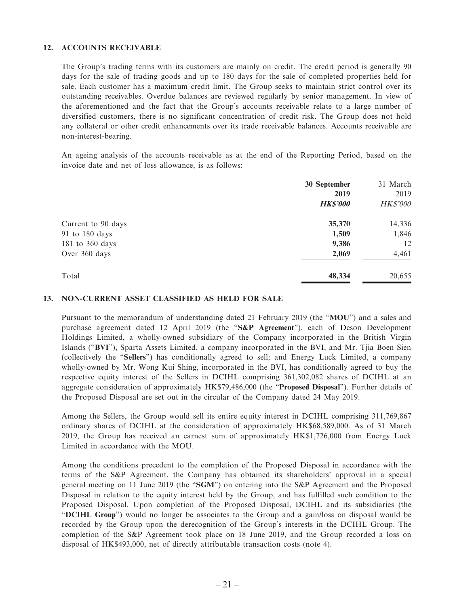#### **12. ACCOUNTS RECEIVABLE**

The Group's trading terms with its customers are mainly on credit. The credit period is generally 90 days for the sale of trading goods and up to 180 days for the sale of completed properties held for sale. Each customer has a maximum credit limit. The Group seeks to maintain strict control over its outstanding receivables. Overdue balances are reviewed regularly by senior management. In view of the aforementioned and the fact that the Group's accounts receivable relate to a large number of diversified customers, there is no significant concentration of credit risk. The Group does not hold any collateral or other credit enhancements over its trade receivable balances. Accounts receivable are non-interest-bearing.

An ageing analysis of the accounts receivable as at the end of the Reporting Period, based on the invoice date and net of loss allowance, is as follows:

|                    | 30 September    | 31 March        |
|--------------------|-----------------|-----------------|
|                    | 2019            | 2019            |
|                    | <b>HK\$'000</b> | <b>HK\$'000</b> |
| Current to 90 days | 35,370          | 14,336          |
| 91 to 180 days     | 1,509           | 1,846           |
| 181 to 360 days    | 9,386           | 12              |
| Over 360 days      | 2,069           | 4,461           |
| Total              | 48,334          | 20,655          |

#### **13. NON-CURRENT ASSET CLASSIFIED AS HELD FOR SALE**

Pursuant to the memorandum of understanding dated 21 February 2019 (the "**MOU**") and a sales and purchase agreement dated 12 April 2019 (the "**S&P Agreement**"), each of Deson Development Holdings Limited, a wholly-owned subsidiary of the Company incorporated in the British Virgin Islands ("**BVI**"), Sparta Assets Limited, a company incorporated in the BVI, and Mr. Tjia Boen Sien (collectively the "**Sellers**") has conditionally agreed to sell; and Energy Luck Limited, a company wholly-owned by Mr. Wong Kui Shing, incorporated in the BVI, has conditionally agreed to buy the respective equity interest of the Sellers in DCIHL comprising 361,302,082 shares of DCIHL at an aggregate consideration of approximately HK\$79,486,000 (the "**Proposed Disposal**"). Further details of the Proposed Disposal are set out in the circular of the Company dated 24 May 2019.

Among the Sellers, the Group would sell its entire equity interest in DCIHL comprising 311,769,867 ordinary shares of DCIHL at the consideration of approximately HK\$68,589,000. As of 31 March 2019, the Group has received an earnest sum of approximately HK\$1,726,000 from Energy Luck Limited in accordance with the MOU.

Among the conditions precedent to the completion of the Proposed Disposal in accordance with the terms of the S&P Agreement, the Company has obtained its shareholders' approval in a special general meeting on 11 June 2019 (the "**SGM**") on entering into the S&P Agreement and the Proposed Disposal in relation to the equity interest held by the Group, and has fulfilled such condition to the Proposed Disposal. Upon completion of the Proposed Disposal, DCIHL and its subsidiaries (the "**DCIHL Group**") would no longer be associates to the Group and a gain/loss on disposal would be recorded by the Group upon the derecognition of the Group's interests in the DCIHL Group. The completion of the S&P Agreement took place on 18 June 2019, and the Group recorded a loss on disposal of HK\$493,000, net of directly attributable transaction costs (note 4).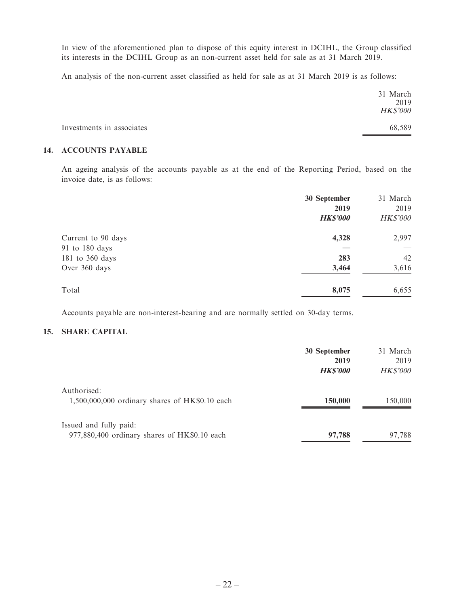In view of the aforementioned plan to dispose of this equity interest in DCIHL, the Group classified its interests in the DCIHL Group as an non-current asset held for sale as at 31 March 2019.

An analysis of the non-current asset classified as held for sale as at 31 March 2019 is as follows:

|                           | 31 March<br>2019<br><b>HK\$'000</b> |
|---------------------------|-------------------------------------|
| Investments in associates | 68,589                              |

#### **14. ACCOUNTS PAYABLE**

An ageing analysis of the accounts payable as at the end of the Reporting Period, based on the invoice date, is as follows:

|                                                    | 30 September<br>2019<br><b>HK\$'000</b> | 31 March<br>2019<br><b>HK\$'000</b> |
|----------------------------------------------------|-----------------------------------------|-------------------------------------|
| Current to 90 days                                 | 4,328                                   | 2,997                               |
| 91 to 180 days<br>181 to 360 days<br>Over 360 days | 283<br>3,464                            | 42<br>3,616                         |
| Total                                              | 8,075                                   | 6,655                               |

Accounts payable are non-interest-bearing and are normally settled on 30-day terms.

#### **15. SHARE CAPITAL**

|                                                                        | 30 September<br>2019<br><b>HK\$'000</b> | 31 March<br>2019<br><i>HK\$'000</i> |
|------------------------------------------------------------------------|-----------------------------------------|-------------------------------------|
| Authorised:<br>$1,500,000,000$ ordinary shares of HK\$0.10 each        | 150,000                                 | 150,000                             |
| Issued and fully paid:<br>977,880,400 ordinary shares of HK\$0.10 each | 97,788                                  | 97,788                              |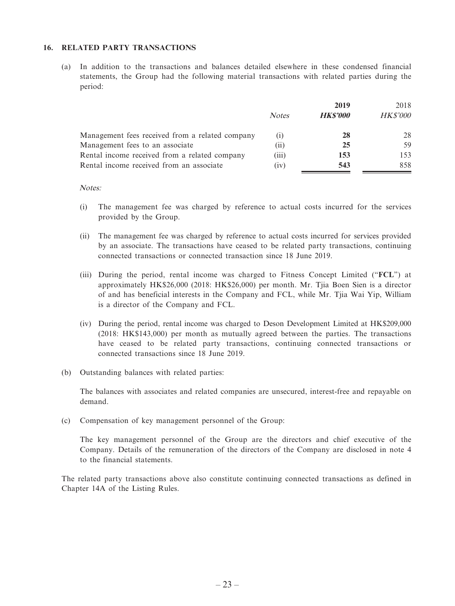#### **16. RELATED PARTY TRANSACTIONS**

(a) In addition to the transactions and balances detailed elsewhere in these condensed financial statements, the Group had the following material transactions with related parties during the period:

|                                                 |              | 2019           | 2018            |
|-------------------------------------------------|--------------|----------------|-----------------|
|                                                 | <b>Notes</b> | <b>HKS'000</b> | <i>HK\$'000</i> |
| Management fees received from a related company |              | 28             | 28              |
| Management fees to an associate                 | (11)         | 25             | 59.             |
| Rental income received from a related company   | (iii)        | 153            | 153             |
| Rental income received from an associate        | (1V)         | 543            | 858             |

#### Notes:

- (i) The management fee was charged by reference to actual costs incurred for the services provided by the Group.
- (ii) The management fee was charged by reference to actual costs incurred for services provided by an associate. The transactions have ceased to be related party transactions, continuing connected transactions or connected transaction since 18 June 2019.
- (iii) During the period, rental income was charged to Fitness Concept Limited ("**FCL**") at approximately HK\$26,000 (2018: HK\$26,000) per month. Mr. Tjia Boen Sien is a director of and has beneficial interests in the Company and FCL, while Mr. Tjia Wai Yip, William is a director of the Company and FCL.
- (iv) During the period, rental income was charged to Deson Development Limited at HK\$209,000 (2018: HK\$143,000) per month as mutually agreed between the parties. The transactions have ceased to be related party transactions, continuing connected transactions or connected transactions since 18 June 2019.
- (b) Outstanding balances with related parties:

The balances with associates and related companies are unsecured, interest-free and repayable on demand.

(c) Compensation of key management personnel of the Group:

The key management personnel of the Group are the directors and chief executive of the Company. Details of the remuneration of the directors of the Company are disclosed in note 4 to the financial statements.

The related party transactions above also constitute continuing connected transactions as defined in Chapter 14A of the Listing Rules.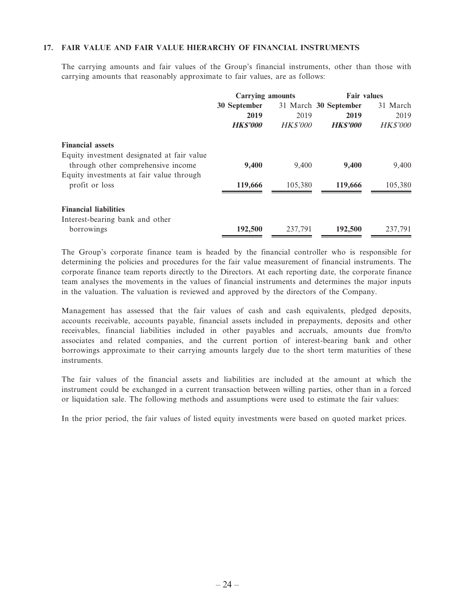#### **17. FAIR VALUE AND FAIR VALUE HIERARCHY OF FINANCIAL INSTRUMENTS**

The carrying amounts and fair values of the Group's financial instruments, other than those with carrying amounts that reasonably approximate to fair values, are as follows:

|                                            | <b>Carrying amounts</b> |                 | <b>Fair values</b>    |                 |
|--------------------------------------------|-------------------------|-----------------|-----------------------|-----------------|
|                                            | 30 September            |                 | 31 March 30 September | 31 March        |
|                                            | 2019                    | 2019            | 2019                  | 2019            |
|                                            | <b>HKS'000</b>          | <i>HK\$'000</i> | <b>HKS'000</b>        | <b>HK\$'000</b> |
| <b>Financial assets</b>                    |                         |                 |                       |                 |
| Equity investment designated at fair value |                         |                 |                       |                 |
| through other comprehensive income         | 9,400                   | 9,400           | 9,400                 | 9,400           |
| Equity investments at fair value through   |                         |                 |                       |                 |
| profit or loss                             | 119,666                 | 105.380         | 119,666               | 105,380         |
|                                            |                         |                 |                       |                 |
| <b>Financial liabilities</b>               |                         |                 |                       |                 |
| Interest-bearing bank and other            |                         |                 |                       |                 |
| borrowings                                 | 192,500                 | 237,791         | 192,500               | 237,791         |

The Group's corporate finance team is headed by the financial controller who is responsible for determining the policies and procedures for the fair value measurement of financial instruments. The corporate finance team reports directly to the Directors. At each reporting date, the corporate finance team analyses the movements in the values of financial instruments and determines the major inputs in the valuation. The valuation is reviewed and approved by the directors of the Company.

Management has assessed that the fair values of cash and cash equivalents, pledged deposits, accounts receivable, accounts payable, financial assets included in prepayments, deposits and other receivables, financial liabilities included in other payables and accruals, amounts due from/to associates and related companies, and the current portion of interest-bearing bank and other borrowings approximate to their carrying amounts largely due to the short term maturities of these instruments.

The fair values of the financial assets and liabilities are included at the amount at which the instrument could be exchanged in a current transaction between willing parties, other than in a forced or liquidation sale. The following methods and assumptions were used to estimate the fair values:

In the prior period, the fair values of listed equity investments were based on quoted market prices.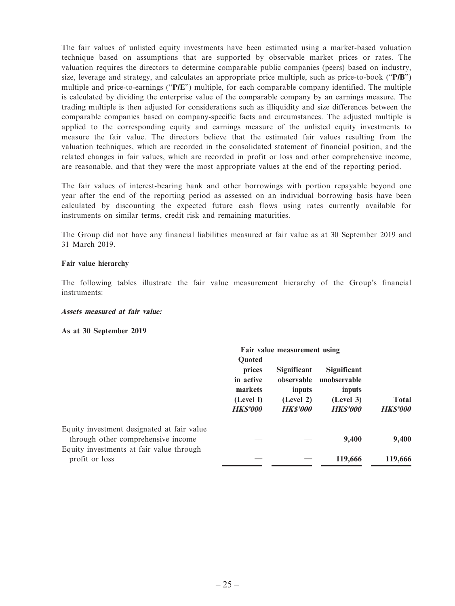The fair values of unlisted equity investments have been estimated using a market-based valuation technique based on assumptions that are supported by observable market prices or rates. The valuation requires the directors to determine comparable public companies (peers) based on industry, size, leverage and strategy, and calculates an appropriate price multiple, such as price-to-book ("**P/B**") multiple and price-to-earnings ("**P/E**") multiple, for each comparable company identified. The multiple is calculated by dividing the enterprise value of the comparable company by an earnings measure. The trading multiple is then adjusted for considerations such as illiquidity and size differences between the comparable companies based on company-specific facts and circumstances. The adjusted multiple is applied to the corresponding equity and earnings measure of the unlisted equity investments to measure the fair value. The directors believe that the estimated fair values resulting from the valuation techniques, which are recorded in the consolidated statement of financial position, and the related changes in fair values, which are recorded in profit or loss and other comprehensive income, are reasonable, and that they were the most appropriate values at the end of the reporting period.

The fair values of interest-bearing bank and other borrowings with portion repayable beyond one year after the end of the reporting period as assessed on an individual borrowing basis have been calculated by discounting the expected future cash flows using rates currently available for instruments on similar terms, credit risk and remaining maturities.

The Group did not have any financial liabilities measured at fair value as at 30 September 2019 and 31 March 2019.

#### **Fair value hierarchy**

The following tables illustrate the fair value measurement hierarchy of the Group's financial instruments:

#### **Assets measured at fair value:**

**As at 30 September 2019**

|                                            | Fair value measurement using                         |                      |                        |                 |              |
|--------------------------------------------|------------------------------------------------------|----------------------|------------------------|-----------------|--------------|
|                                            | Quoted                                               |                      |                        |                 |              |
|                                            | prices                                               | <b>Significant</b>   | Significant            |                 |              |
|                                            | in active<br>markets<br>(Level I)<br><b>HK\$'000</b> | observable<br>inputs | unobservable<br>inputs |                 |              |
|                                            |                                                      |                      | (Level 2)              | (Level 3)       | <b>Total</b> |
|                                            |                                                      | <b>HKS'000</b>       | <b>HKS'000</b>         | <b>HK\$'000</b> |              |
| Equity investment designated at fair value |                                                      |                      |                        |                 |              |
| through other comprehensive income         |                                                      |                      | 9,400                  | 9,400           |              |
| Equity investments at fair value through   |                                                      |                      |                        |                 |              |
| profit or loss                             |                                                      |                      | 119,666                | 119,666         |              |
|                                            |                                                      |                      |                        |                 |              |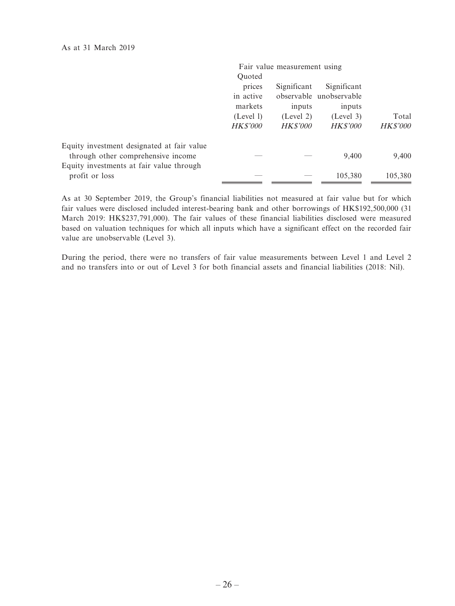|                                            |                 | Fair value measurement using |                         |                 |
|--------------------------------------------|-----------------|------------------------------|-------------------------|-----------------|
|                                            | Quoted          |                              |                         |                 |
|                                            | prices          | Significant                  | Significant             |                 |
|                                            | in active       |                              | observable unobservable |                 |
|                                            | markets         | inputs                       | inputs                  |                 |
|                                            | (Level 1)       | (Level 2)                    | (Level 3)               | Total           |
|                                            | <b>HK\$'000</b> | <b>HK\$'000</b>              | <b>HK\$'000</b>         | <b>HK\$'000</b> |
| Equity investment designated at fair value |                 |                              |                         |                 |
| through other comprehensive income         |                 |                              | 9,400                   | 9,400           |
| Equity investments at fair value through   |                 |                              |                         |                 |
| profit or loss                             |                 |                              | 105,380                 | 105,380         |

As at 30 September 2019, the Group's financial liabilities not measured at fair value but for which fair values were disclosed included interest-bearing bank and other borrowings of HK\$192,500,000 (31 March 2019: HK\$237,791,000). The fair values of these financial liabilities disclosed were measured based on valuation techniques for which all inputs which have a significant effect on the recorded fair value are unobservable (Level 3).

During the period, there were no transfers of fair value measurements between Level 1 and Level 2 and no transfers into or out of Level 3 for both financial assets and financial liabilities (2018: Nil).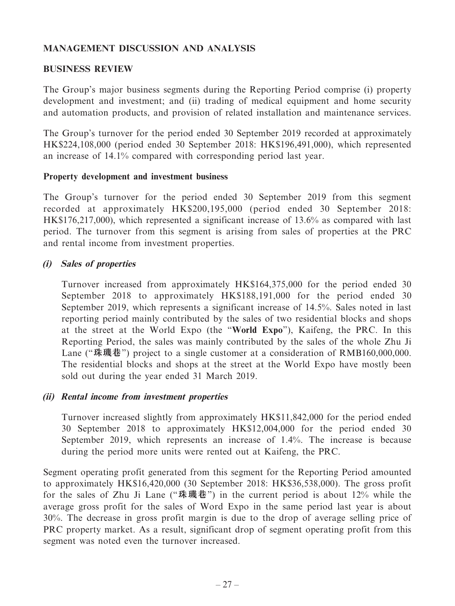# **MANAGEMENT DISCUSSION AND ANALYSIS**

#### **BUSINESS REVIEW**

The Group's major business segments during the Reporting Period comprise (i) property development and investment; and (ii) trading of medical equipment and home security and automation products, and provision of related installation and maintenance services.

The Group's turnover for the period ended 30 September 2019 recorded at approximately HK\$224,108,000 (period ended 30 September 2018: HK\$196,491,000), which represented an increase of 14.1% compared with corresponding period last year.

#### **Property development and investment business**

The Group's turnover for the period ended 30 September 2019 from this segment recorded at approximately HK\$200,195,000 (period ended 30 September 2018: HK\$176,217,000), which represented a significant increase of 13.6% as compared with last period. The turnover from this segment is arising from sales of properties at the PRC and rental income from investment properties.

# **(i) Sales of properties**

Turnover increased from approximately HK\$164,375,000 for the period ended 30 September 2018 to approximately HK\$188,191,000 for the period ended 30 September 2019, which represents a significant increase of 14.5%. Sales noted in last reporting period mainly contributed by the sales of two residential blocks and shops at the street at the World Expo (the "**World Expo**"), Kaifeng, the PRC. In this Reporting Period, the sales was mainly contributed by the sales of the whole Zhu Ji Lane ("珠璣巷") project to a single customer at a consideration of RMB160,000,000. The residential blocks and shops at the street at the World Expo have mostly been sold out during the year ended 31 March 2019.

#### **(ii) Rental income from investment properties**

Turnover increased slightly from approximately HK\$11,842,000 for the period ended 30 September 2018 to approximately HK\$12,004,000 for the period ended 30 September 2019, which represents an increase of 1.4%. The increase is because during the period more units were rented out at Kaifeng, the PRC.

Segment operating profit generated from this segment for the Reporting Period amounted to approximately HK\$16,420,000 (30 September 2018: HK\$36,538,000). The gross profit for the sales of Zhu Ji Lane ("**珠璣巷**") in the current period is about 12% while the average gross profit for the sales of Word Expo in the same period last year is about 30%. The decrease in gross profit margin is due to the drop of average selling price of PRC property market. As a result, significant drop of segment operating profit from this segment was noted even the turnover increased.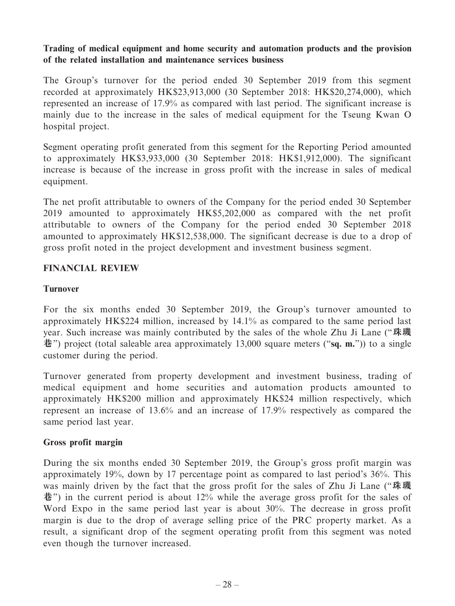# **Trading of medical equipment and home security and automation products and the provision of the related installation and maintenance services business**

The Group's turnover for the period ended 30 September 2019 from this segment recorded at approximately HK\$23,913,000 (30 September 2018: HK\$20,274,000), which represented an increase of 17.9% as compared with last period. The significant increase is mainly due to the increase in the sales of medical equipment for the Tseung Kwan O hospital project.

Segment operating profit generated from this segment for the Reporting Period amounted to approximately HK\$3,933,000 (30 September 2018: HK\$1,912,000). The significant increase is because of the increase in gross profit with the increase in sales of medical equipment.

The net profit attributable to owners of the Company for the period ended 30 September 2019 amounted to approximately HK\$5,202,000 as compared with the net profit attributable to owners of the Company for the period ended 30 September 2018 amounted to approximately HK\$12,538,000. The significant decrease is due to a drop of gross profit noted in the project development and investment business segment.

# **FINANCIAL REVIEW**

# **Turnover**

For the six months ended 30 September 2019, the Group's turnover amounted to approximately HK\$224 million, increased by 14.1% as compared to the same period last year. Such increase was mainly contributed by the sales of the whole Zhu Ji Lane ("**珠璣 巷**") project (total saleable area approximately 13,000 square meters ("**sq. m.**")) to a single customer during the period.

Turnover generated from property development and investment business, trading of medical equipment and home securities and automation products amounted to approximately HK\$200 million and approximately HK\$24 million respectively, which represent an increase of 13.6% and an increase of 17.9% respectively as compared the same period last year.

# **Gross profit margin**

During the six months ended 30 September 2019, the Group's gross profit margin was approximately 19%, down by 17 percentage point as compared to last period's 36%. This was mainly driven by the fact that the gross profit for the sales of Zhu Ji Lane ("**珠璣 巷**") in the current period is about 12% while the average gross profit for the sales of Word Expo in the same period last year is about 30%. The decrease in gross profit margin is due to the drop of average selling price of the PRC property market. As a result, a significant drop of the segment operating profit from this segment was noted even though the turnover increased.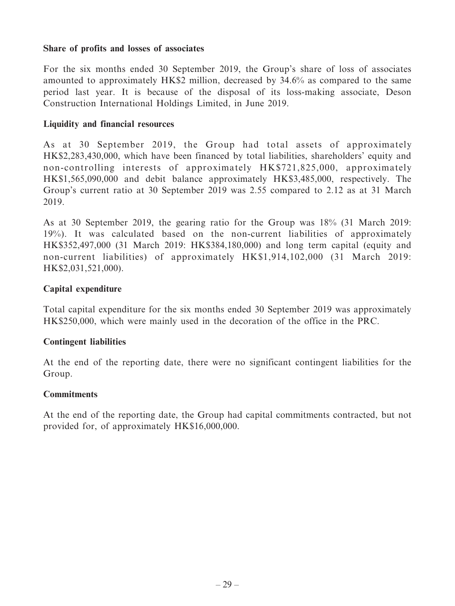#### **Share of profits and losses of associates**

For the six months ended 30 September 2019, the Group's share of loss of associates amounted to approximately HK\$2 million, decreased by 34.6% as compared to the same period last year. It is because of the disposal of its loss-making associate, Deson Construction International Holdings Limited, in June 2019.

#### **Liquidity and financial resources**

As at 30 September 2019, the Group had total assets of approximately HK\$2,283,430,000, which have been financed by total liabilities, shareholders' equity and non-controlling interests of approximately HK\$721,825,000, approximately HK\$1,565,090,000 and debit balance approximately HK\$3,485,000, respectively. The Group's current ratio at 30 September 2019 was 2.55 compared to 2.12 as at 31 March 2019.

As at 30 September 2019, the gearing ratio for the Group was 18% (31 March 2019: 19%). It was calculated based on the non-current liabilities of approximately HK\$352,497,000 (31 March 2019: HK\$384,180,000) and long term capital (equity and non-current liabilities) of approximately HK\$1,914,102,000 (31 March 2019: HK\$2,031,521,000).

# **Capital expenditure**

Total capital expenditure for the six months ended 30 September 2019 was approximately HK\$250,000, which were mainly used in the decoration of the office in the PRC.

# **Contingent liabilities**

At the end of the reporting date, there were no significant contingent liabilities for the Group.

#### **Commitments**

At the end of the reporting date, the Group had capital commitments contracted, but not provided for, of approximately HK\$16,000,000.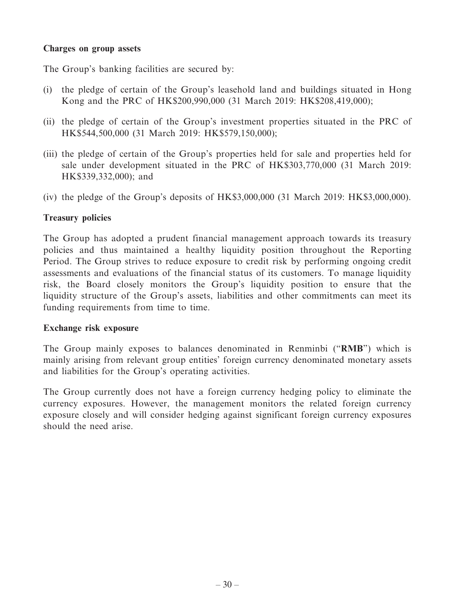#### **Charges on group assets**

The Group's banking facilities are secured by:

- (i) the pledge of certain of the Group's leasehold land and buildings situated in Hong Kong and the PRC of HK\$200,990,000 (31 March 2019: HK\$208,419,000);
- (ii) the pledge of certain of the Group's investment properties situated in the PRC of HK\$544,500,000 (31 March 2019: HK\$579,150,000);
- (iii) the pledge of certain of the Group's properties held for sale and properties held for sale under development situated in the PRC of HK\$303,770,000 (31 March 2019: HK\$339,332,000); and
- (iv) the pledge of the Group's deposits of HK\$3,000,000 (31 March 2019: HK\$3,000,000).

# **Treasury policies**

The Group has adopted a prudent financial management approach towards its treasury policies and thus maintained a healthy liquidity position throughout the Reporting Period. The Group strives to reduce exposure to credit risk by performing ongoing credit assessments and evaluations of the financial status of its customers. To manage liquidity risk, the Board closely monitors the Group's liquidity position to ensure that the liquidity structure of the Group's assets, liabilities and other commitments can meet its funding requirements from time to time.

# **Exchange risk exposure**

The Group mainly exposes to balances denominated in Renminbi ("**RMB**") which is mainly arising from relevant group entities' foreign currency denominated monetary assets and liabilities for the Group's operating activities.

The Group currently does not have a foreign currency hedging policy to eliminate the currency exposures. However, the management monitors the related foreign currency exposure closely and will consider hedging against significant foreign currency exposures should the need arise.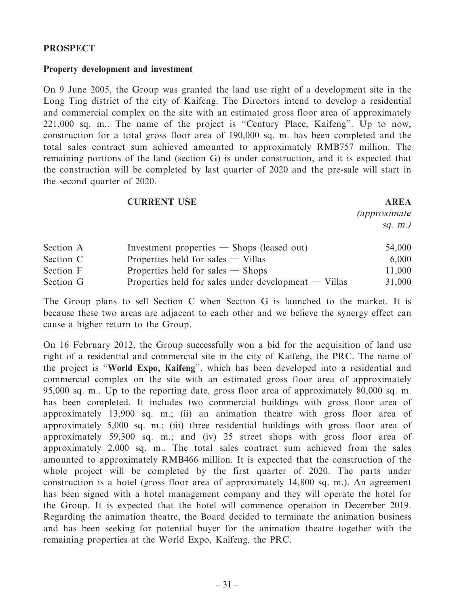#### **PROSPECT**

#### **Property development and investment**

On 9 June 2005, the Group was granted the land use right of a development site in the Long Ting district of the city of Kaifeng. The Directors intend to develop a residential and commercial complex on the site with an estimated gross floor area of approximately 221,000 sq. m.. The name of the project is "Century Place, Kaifeng". Up to now, construction for a total gross floor area of 190,000 sq. m. has been completed and the total sales contract sum achieved amounted to approximately RMB757 million. The remaining portions of the land (section G) is under construction, and it is expected that the construction will be completed by last quarter of 2020 and the pre-sale will start in the second quarter of 2020.

#### **CURRENT USE AREA**

(approximate sq. m.)

| Section A | Investment properties $-$ Shops (leased out)           | 54,000 |
|-----------|--------------------------------------------------------|--------|
| Section C | Properties held for sales $-$ Villas                   | 6,000  |
| Section F | Properties held for sales $-$ Shops                    | 11,000 |
| Section G | Properties held for sales under development $-$ Villas | 31,000 |

The Group plans to sell Section C when Section G is launched to the market. It is because these two areas are adjacent to each other and we believe the synergy effect can cause a higher return to the Group.

On 16 February 2012, the Group successfully won a bid for the acquisition of land use right of a residential and commercial site in the city of Kaifeng, the PRC. The name of the project is "**World Expo, Kaifeng**", which has been developed into a residential and commercial complex on the site with an estimated gross floor area of approximately 95,000 sq. m.. Up to the reporting date, gross floor area of approximately 80,000 sq. m. has been completed. It includes two commercial buildings with gross floor area of approximately 13,900 sq. m.; (ii) an animation theatre with gross floor area of approximately 5,000 sq. m.; (iii) three residential buildings with gross floor area of approximately 59,300 sq. m.; and (iv) 25 street shops with gross floor area of approximately 2,000 sq. m.. The total sales contract sum achieved from the sales amounted to approximately RMB466 million. It is expected that the construction of the whole project will be completed by the first quarter of 2020. The parts under construction is a hotel (gross floor area of approximately 14,800 sq. m.). An agreement has been signed with a hotel management company and they will operate the hotel for the Group. It is expected that the hotel will commence operation in December 2019. Regarding the animation theatre, the Board decided to terminate the animation business and has been seeking for potential buyer for the animation theatre together with the remaining properties at the World Expo, Kaifeng, the PRC.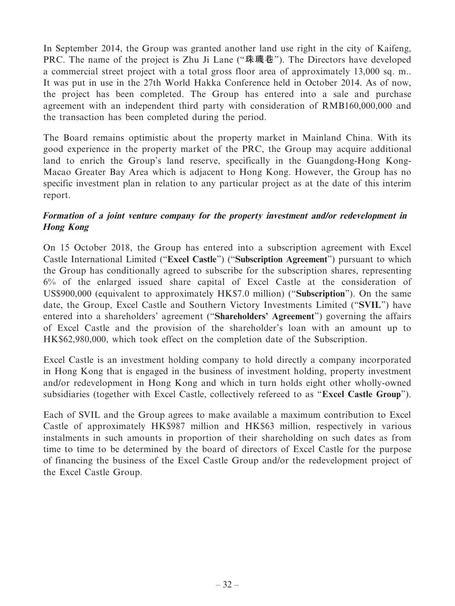In September 2014, the Group was granted another land use right in the city of Kaifeng, PRC. The name of the project is Zhu Ji Lane ("**珠璣巷**"). The Directors have developed a commercial street project with a total gross floor area of approximately 13,000 sq. m.. It was put in use in the 27th World Hakka Conference held in October 2014. As of now, the project has been completed. The Group has entered into a sale and purchase agreement with an independent third party with consideration of RMB160,000,000 and the transaction has been completed during the period.

The Board remains optimistic about the property market in Mainland China. With its good experience in the property market of the PRC, the Group may acquire additional land to enrich the Group's land reserve, specifically in the Guangdong-Hong Kong-Macao Greater Bay Area which is adjacent to Hong Kong. However, the Group has no specific investment plan in relation to any particular project as at the date of this interim report.

# **Formation of a joint venture company for the property investment and/or redevelopment in Hong Kong**

On 15 October 2018, the Group has entered into a subscription agreement with Excel Castle International Limited ("**Excel Castle**") ("**Subscription Agreement**") pursuant to which the Group has conditionally agreed to subscribe for the subscription shares, representing 6% of the enlarged issued share capital of Excel Castle at the consideration of US\$900,000 (equivalent to approximately HK\$7.0 million) ("**Subscription**"). On the same date, the Group, Excel Castle and Southern Victory Investments Limited ("**SVIL**") have entered into a shareholders' agreement ("**Shareholders' Agreement**") governing the affairs of Excel Castle and the provision of the shareholder's loan with an amount up to HK\$62,980,000, which took effect on the completion date of the Subscription.

Excel Castle is an investment holding company to hold directly a company incorporated in Hong Kong that is engaged in the business of investment holding, property investment and/or redevelopment in Hong Kong and which in turn holds eight other wholly-owned subsidiaries (together with Excel Castle, collectively refereed to as "**Excel Castle Group**").

Each of SVIL and the Group agrees to make available a maximum contribution to Excel Castle of approximately HK\$987 million and HK\$63 million, respectively in various instalments in such amounts in proportion of their shareholding on such dates as from time to time to be determined by the board of directors of Excel Castle for the purpose of financing the business of the Excel Castle Group and/or the redevelopment project of the Excel Castle Group.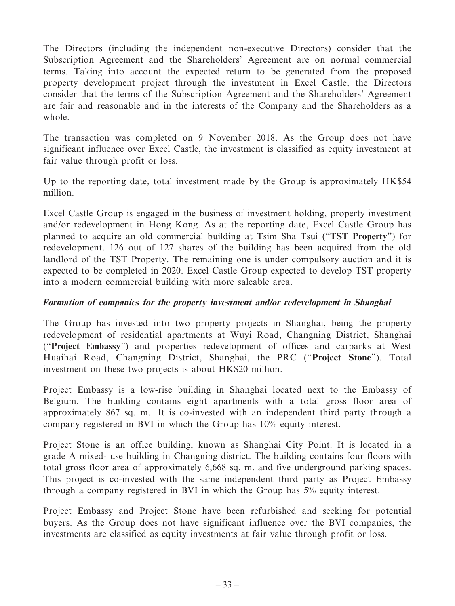The Directors (including the independent non-executive Directors) consider that the Subscription Agreement and the Shareholders' Agreement are on normal commercial terms. Taking into account the expected return to be generated from the proposed property development project through the investment in Excel Castle, the Directors consider that the terms of the Subscription Agreement and the Shareholders' Agreement are fair and reasonable and in the interests of the Company and the Shareholders as a whole.

The transaction was completed on 9 November 2018. As the Group does not have significant influence over Excel Castle, the investment is classified as equity investment at fair value through profit or loss.

Up to the reporting date, total investment made by the Group is approximately HK\$54 million.

Excel Castle Group is engaged in the business of investment holding, property investment and/or redevelopment in Hong Kong. As at the reporting date, Excel Castle Group has planned to acquire an old commercial building at Tsim Sha Tsui ("**TST Property**") for redevelopment. 126 out of 127 shares of the building has been acquired from the old landlord of the TST Property. The remaining one is under compulsory auction and it is expected to be completed in 2020. Excel Castle Group expected to develop TST property into a modern commercial building with more saleable area.

# **Formation of companies for the property investment and/or redevelopment in Shanghai**

The Group has invested into two property projects in Shanghai, being the property redevelopment of residential apartments at Wuyi Road, Changning District, Shanghai ("**Project Embassy**") and properties redevelopment of offices and carparks at West Huaihai Road, Changning District, Shanghai, the PRC ("**Project Stone**"). Total investment on these two projects is about HK\$20 million.

Project Embassy is a low-rise building in Shanghai located next to the Embassy of Belgium. The building contains eight apartments with a total gross floor area of approximately 867 sq. m.. It is co-invested with an independent third party through a company registered in BVI in which the Group has 10% equity interest.

Project Stone is an office building, known as Shanghai City Point. It is located in a grade A mixed- use building in Changning district. The building contains four floors with total gross floor area of approximately 6,668 sq. m. and five underground parking spaces. This project is co-invested with the same independent third party as Project Embassy through a company registered in BVI in which the Group has 5% equity interest.

Project Embassy and Project Stone have been refurbished and seeking for potential buyers. As the Group does not have significant influence over the BVI companies, the investments are classified as equity investments at fair value through profit or loss.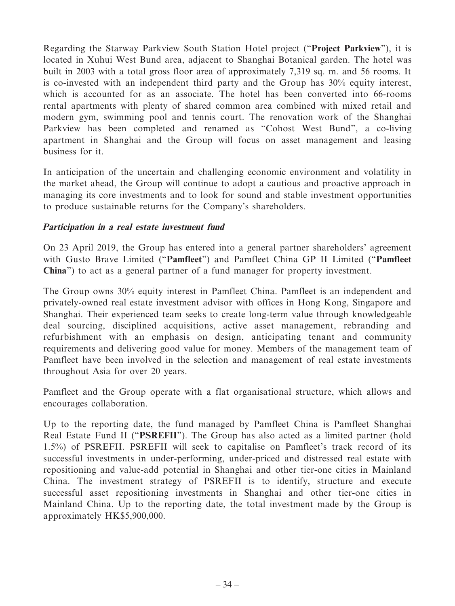Regarding the Starway Parkview South Station Hotel project ("**Project Parkview**"), it is located in Xuhui West Bund area, adjacent to Shanghai Botanical garden. The hotel was built in 2003 with a total gross floor area of approximately 7,319 sq. m. and 56 rooms. It is co-invested with an independent third party and the Group has 30% equity interest, which is accounted for as an associate. The hotel has been converted into 66-rooms rental apartments with plenty of shared common area combined with mixed retail and modern gym, swimming pool and tennis court. The renovation work of the Shanghai Parkview has been completed and renamed as "Cohost West Bund", a co-living apartment in Shanghai and the Group will focus on asset management and leasing business for it.

In anticipation of the uncertain and challenging economic environment and volatility in the market ahead, the Group will continue to adopt a cautious and proactive approach in managing its core investments and to look for sound and stable investment opportunities to produce sustainable returns for the Company's shareholders.

# **Participation in a real estate investment fund**

On 23 April 2019, the Group has entered into a general partner shareholders' agreement with Gusto Brave Limited ("**Pamfleet**") and Pamfleet China GP II Limited ("**Pamfleet China**") to act as a general partner of a fund manager for property investment.

The Group owns 30% equity interest in Pamfleet China. Pamfleet is an independent and privately-owned real estate investment advisor with offices in Hong Kong, Singapore and Shanghai. Their experienced team seeks to create long-term value through knowledgeable deal sourcing, disciplined acquisitions, active asset management, rebranding and refurbishment with an emphasis on design, anticipating tenant and community requirements and delivering good value for money. Members of the management team of Pamfleet have been involved in the selection and management of real estate investments throughout Asia for over 20 years.

Pamfleet and the Group operate with a flat organisational structure, which allows and encourages collaboration.

Up to the reporting date, the fund managed by Pamfleet China is Pamfleet Shanghai Real Estate Fund II ("**PSREFII**"). The Group has also acted as a limited partner (hold 1.5%) of PSREFII. PSREFII will seek to capitalise on Pamfleet's track record of its successful investments in under-performing, under-priced and distressed real estate with repositioning and value-add potential in Shanghai and other tier-one cities in Mainland China. The investment strategy of PSREFII is to identify, structure and execute successful asset repositioning investments in Shanghai and other tier-one cities in Mainland China. Up to the reporting date, the total investment made by the Group is approximately HK\$5,900,000.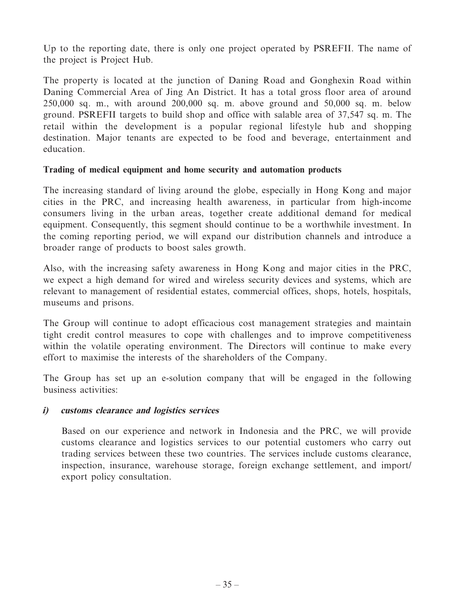Up to the reporting date, there is only one project operated by PSREFII. The name of the project is Project Hub.

The property is located at the junction of Daning Road and Gonghexin Road within Daning Commercial Area of Jing An District. It has a total gross floor area of around 250,000 sq. m., with around 200,000 sq. m. above ground and 50,000 sq. m. below ground. PSREFII targets to build shop and office with salable area of 37,547 sq. m. The retail within the development is a popular regional lifestyle hub and shopping destination. Major tenants are expected to be food and beverage, entertainment and education.

#### **Trading of medical equipment and home security and automation products**

The increasing standard of living around the globe, especially in Hong Kong and major cities in the PRC, and increasing health awareness, in particular from high-income consumers living in the urban areas, together create additional demand for medical equipment. Consequently, this segment should continue to be a worthwhile investment. In the coming reporting period, we will expand our distribution channels and introduce a broader range of products to boost sales growth.

Also, with the increasing safety awareness in Hong Kong and major cities in the PRC, we expect a high demand for wired and wireless security devices and systems, which are relevant to management of residential estates, commercial offices, shops, hotels, hospitals, museums and prisons.

The Group will continue to adopt efficacious cost management strategies and maintain tight credit control measures to cope with challenges and to improve competitiveness within the volatile operating environment. The Directors will continue to make every effort to maximise the interests of the shareholders of the Company.

The Group has set up an e-solution company that will be engaged in the following business activities:

# **i) customs clearance and logistics services**

Based on our experience and network in Indonesia and the PRC, we will provide customs clearance and logistics services to our potential customers who carry out trading services between these two countries. The services include customs clearance, inspection, insurance, warehouse storage, foreign exchange settlement, and import/ export policy consultation.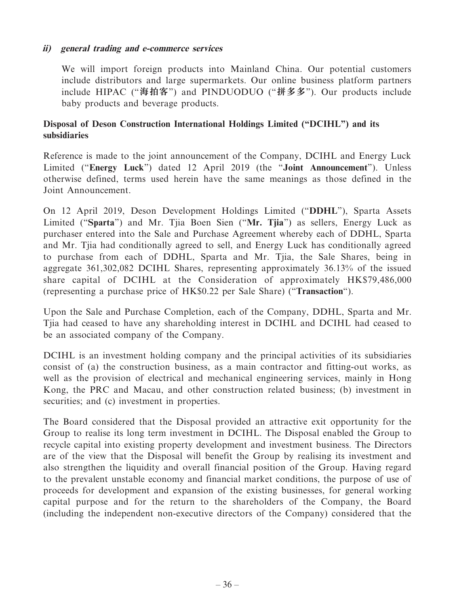# **ii) general trading and e-commerce services**

We will import foreign products into Mainland China. Our potential customers include distributors and large supermarkets. Our online business platform partners include HIPAC ("**海拍客**") and PINDUODUO ("**拼多多**"). Our products include baby products and beverage products.

# **Disposal of Deson Construction International Holdings Limited ("DCIHL") and its subsidiaries**

Reference is made to the joint announcement of the Company, DCIHL and Energy Luck Limited ("**Energy Luck**") dated 12 April 2019 (the "**Joint Announcement**"). Unless otherwise defined, terms used herein have the same meanings as those defined in the Joint Announcement.

On 12 April 2019, Deson Development Holdings Limited ("**DDHL**"), Sparta Assets Limited ("**Sparta**") and Mr. Tjia Boen Sien ("**Mr. Tjia**") as sellers, Energy Luck as purchaser entered into the Sale and Purchase Agreement whereby each of DDHL, Sparta and Mr. Tjia had conditionally agreed to sell, and Energy Luck has conditionally agreed to purchase from each of DDHL, Sparta and Mr. Tjia, the Sale Shares, being in aggregate 361,302,082 DCIHL Shares, representing approximately 36.13% of the issued share capital of DCIHL at the Consideration of approximately HK\$79,486,000 (representing a purchase price of HK\$0.22 per Sale Share) ("**Transaction**").

Upon the Sale and Purchase Completion, each of the Company, DDHL, Sparta and Mr. Tjia had ceased to have any shareholding interest in DCIHL and DCIHL had ceased to be an associated company of the Company.

DCIHL is an investment holding company and the principal activities of its subsidiaries consist of (a) the construction business, as a main contractor and fitting-out works, as well as the provision of electrical and mechanical engineering services, mainly in Hong Kong, the PRC and Macau, and other construction related business; (b) investment in securities; and (c) investment in properties.

The Board considered that the Disposal provided an attractive exit opportunity for the Group to realise its long term investment in DCIHL. The Disposal enabled the Group to recycle capital into existing property development and investment business. The Directors are of the view that the Disposal will benefit the Group by realising its investment and also strengthen the liquidity and overall financial position of the Group. Having regard to the prevalent unstable economy and financial market conditions, the purpose of use of proceeds for development and expansion of the existing businesses, for general working capital purpose and for the return to the shareholders of the Company, the Board (including the independent non-executive directors of the Company) considered that the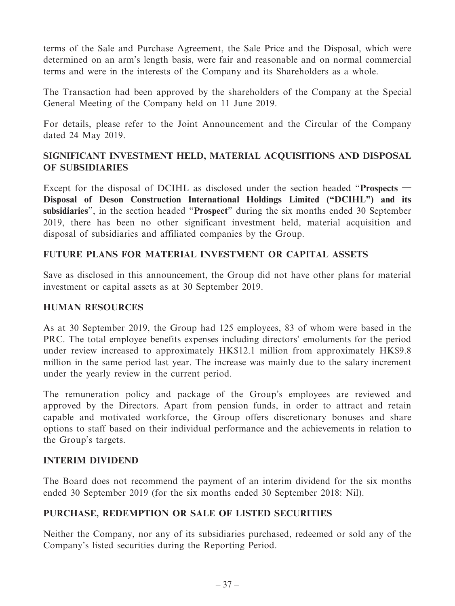terms of the Sale and Purchase Agreement, the Sale Price and the Disposal, which were determined on an arm's length basis, were fair and reasonable and on normal commercial terms and were in the interests of the Company and its Shareholders as a whole.

The Transaction had been approved by the shareholders of the Company at the Special General Meeting of the Company held on 11 June 2019.

For details, please refer to the Joint Announcement and the Circular of the Company dated 24 May 2019.

# **SIGNIFICANT INVESTMENT HELD, MATERIAL ACQUISITIONS AND DISPOSAL OF SUBSIDIARIES**

Except for the disposal of DCIHL as disclosed under the section headed "**Prospects — Disposal of Deson Construction International Holdings Limited ("DCIHL") and its subsidiaries**", in the section headed "**Prospect**" during the six months ended 30 September 2019, there has been no other significant investment held, material acquisition and disposal of subsidiaries and affiliated companies by the Group.

# **FUTURE PLANS FOR MATERIAL INVESTMENT OR CAPITAL ASSETS**

Save as disclosed in this announcement, the Group did not have other plans for material investment or capital assets as at 30 September 2019.

# **HUMAN RESOURCES**

As at 30 September 2019, the Group had 125 employees, 83 of whom were based in the PRC. The total employee benefits expenses including directors' emoluments for the period under review increased to approximately HK\$12.1 million from approximately HK\$9.8 million in the same period last year. The increase was mainly due to the salary increment under the yearly review in the current period.

The remuneration policy and package of the Group's employees are reviewed and approved by the Directors. Apart from pension funds, in order to attract and retain capable and motivated workforce, the Group offers discretionary bonuses and share options to staff based on their individual performance and the achievements in relation to the Group's targets.

# **INTERIM DIVIDEND**

The Board does not recommend the payment of an interim dividend for the six months ended 30 September 2019 (for the six months ended 30 September 2018: Nil).

# **PURCHASE, REDEMPTION OR SALE OF LISTED SECURITIES**

Neither the Company, nor any of its subsidiaries purchased, redeemed or sold any of the Company's listed securities during the Reporting Period.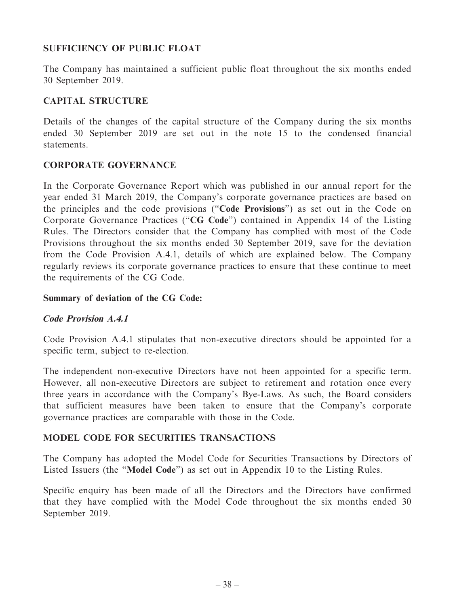# **SUFFICIENCY OF PUBLIC FLOAT**

The Company has maintained a sufficient public float throughout the six months ended 30 September 2019.

# **CAPITAL STRUCTURE**

Details of the changes of the capital structure of the Company during the six months ended 30 September 2019 are set out in the note 15 to the condensed financial statements.

# **CORPORATE GOVERNANCE**

In the Corporate Governance Report which was published in our annual report for the year ended 31 March 2019, the Company's corporate governance practices are based on the principles and the code provisions ("**Code Provisions**") as set out in the Code on Corporate Governance Practices ("**CG Code**") contained in Appendix 14 of the Listing Rules. The Directors consider that the Company has complied with most of the Code Provisions throughout the six months ended 30 September 2019, save for the deviation from the Code Provision A.4.1, details of which are explained below. The Company regularly reviews its corporate governance practices to ensure that these continue to meet the requirements of the CG Code.

# **Summary of deviation of the CG Code:**

# **Code Provision A.4.1**

Code Provision A.4.1 stipulates that non-executive directors should be appointed for a specific term, subject to re-election.

The independent non-executive Directors have not been appointed for a specific term. However, all non-executive Directors are subject to retirement and rotation once every three years in accordance with the Company's Bye-Laws. As such, the Board considers that sufficient measures have been taken to ensure that the Company's corporate governance practices are comparable with those in the Code.

# **MODEL CODE FOR SECURITIES TRANSACTIONS**

The Company has adopted the Model Code for Securities Transactions by Directors of Listed Issuers (the "**Model Code**") as set out in Appendix 10 to the Listing Rules.

Specific enquiry has been made of all the Directors and the Directors have confirmed that they have complied with the Model Code throughout the six months ended 30 September 2019.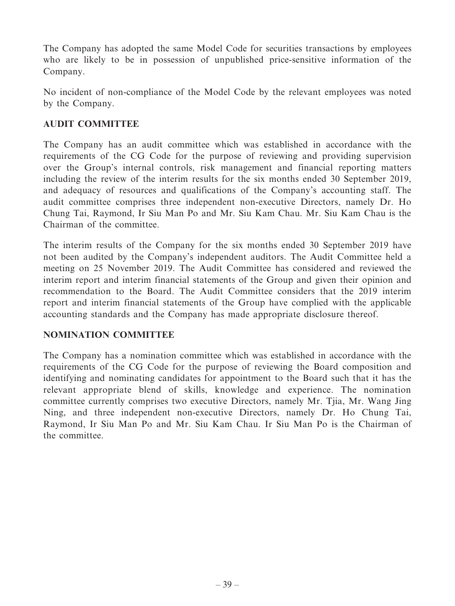The Company has adopted the same Model Code for securities transactions by employees who are likely to be in possession of unpublished price-sensitive information of the Company.

No incident of non-compliance of the Model Code by the relevant employees was noted by the Company.

# **AUDIT COMMITTEE**

The Company has an audit committee which was established in accordance with the requirements of the CG Code for the purpose of reviewing and providing supervision over the Group's internal controls, risk management and financial reporting matters including the review of the interim results for the six months ended 30 September 2019, and adequacy of resources and qualifications of the Company's accounting staff. The audit committee comprises three independent non-executive Directors, namely Dr. Ho Chung Tai, Raymond, Ir Siu Man Po and Mr. Siu Kam Chau. Mr. Siu Kam Chau is the Chairman of the committee.

The interim results of the Company for the six months ended 30 September 2019 have not been audited by the Company's independent auditors. The Audit Committee held a meeting on 25 November 2019. The Audit Committee has considered and reviewed the interim report and interim financial statements of the Group and given their opinion and recommendation to the Board. The Audit Committee considers that the 2019 interim report and interim financial statements of the Group have complied with the applicable accounting standards and the Company has made appropriate disclosure thereof.

# **NOMINATION COMMITTEE**

The Company has a nomination committee which was established in accordance with the requirements of the CG Code for the purpose of reviewing the Board composition and identifying and nominating candidates for appointment to the Board such that it has the relevant appropriate blend of skills, knowledge and experience. The nomination committee currently comprises two executive Directors, namely Mr. Tjia, Mr. Wang Jing Ning, and three independent non-executive Directors, namely Dr. Ho Chung Tai, Raymond, Ir Siu Man Po and Mr. Siu Kam Chau. Ir Siu Man Po is the Chairman of the committee.